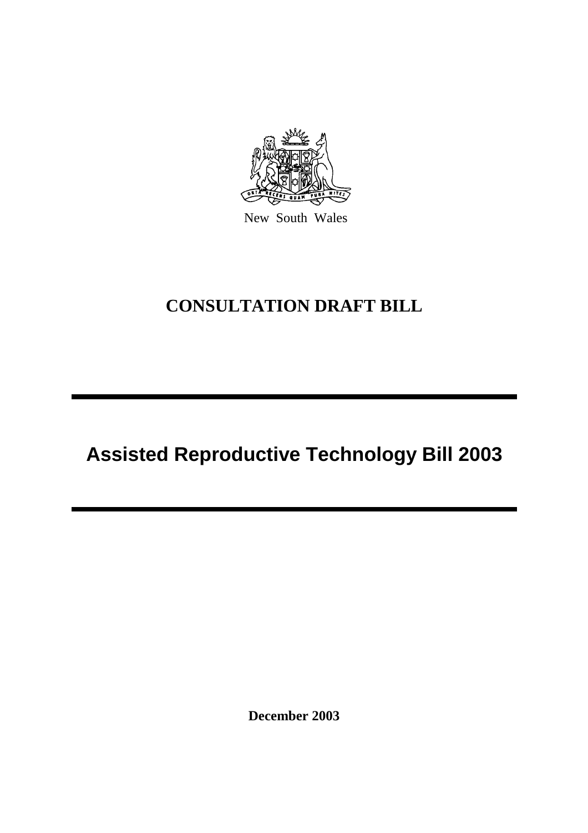

New South Wales

# **CONSULTATION DRAFT BILL**

# **Assisted Reproductive Technology Bill 2003**

**December 2003**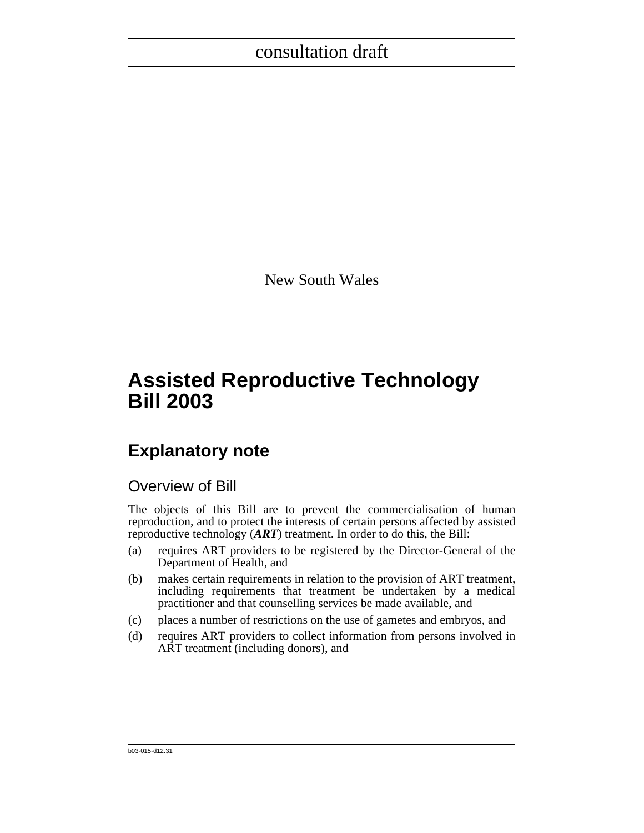New South Wales

# **Assisted Reproductive Technology Bill 2003**

# **Explanatory note**

### Overview of Bill

The objects of this Bill are to prevent the commercialisation of human reproduction, and to protect the interests of certain persons affected by assisted reproductive technology (*ART*) treatment. In order to do this, the Bill:

- (a) requires ART providers to be registered by the Director-General of the Department of Health, and
- (b) makes certain requirements in relation to the provision of ART treatment, including requirements that treatment be undertaken by a medical practitioner and that counselling services be made available, and
- (c) places a number of restrictions on the use of gametes and embryos, and
- (d) requires ART providers to collect information from persons involved in ART treatment (including donors), and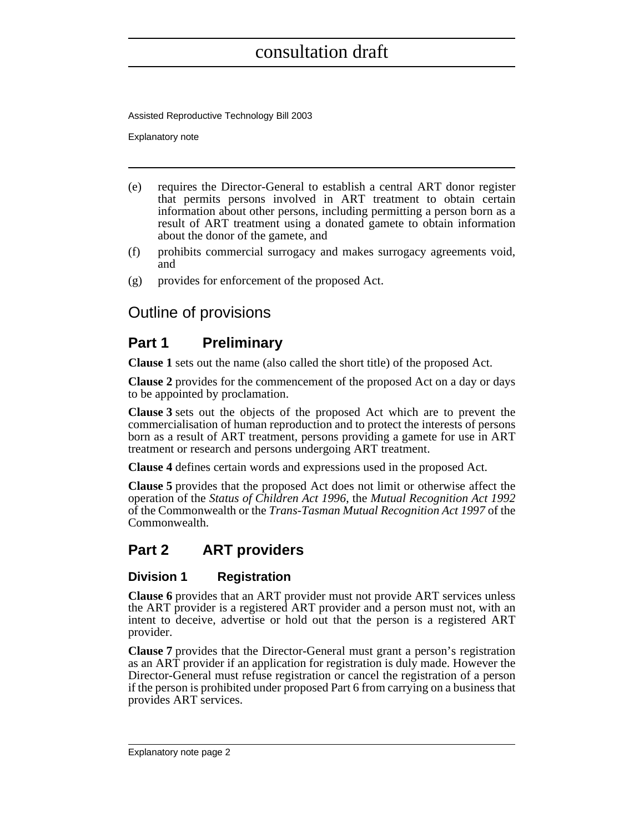Assisted Reproductive Technology Bill 2003

Explanatory note

- (e) requires the Director-General to establish a central ART donor register that permits persons involved in ART treatment to obtain certain information about other persons, including permitting a person born as a result of ART treatment using a donated gamete to obtain information about the donor of the gamete, and
- (f) prohibits commercial surrogacy and makes surrogacy agreements void, and
- (g) provides for enforcement of the proposed Act.

### Outline of provisions

### **Part 1 Preliminary**

**Clause 1** sets out the name (also called the short title) of the proposed Act.

**Clause 2** provides for the commencement of the proposed Act on a day or days to be appointed by proclamation.

**Clause 3** sets out the objects of the proposed Act which are to prevent the commercialisation of human reproduction and to protect the interests of persons born as a result of ART treatment, persons providing a gamete for use in ART treatment or research and persons undergoing ART treatment.

**Clause 4** defines certain words and expressions used in the proposed Act.

**Clause 5** provides that the proposed Act does not limit or otherwise affect the operation of the *Status of Children Act 1996*, the *Mutual Recognition Act 1992* of the Commonwealth or the *Trans-Tasman Mutual Recognition Act 1997* of the Commonwealth.

### **Part 2 ART providers**

### **Division 1 Registration**

**Clause 6** provides that an ART provider must not provide ART services unless the ART provider is a registered ART provider and a person must not, with an intent to deceive, advertise or hold out that the person is a registered ART provider.

**Clause 7** provides that the Director-General must grant a person's registration as an ART provider if an application for registration is duly made. However the Director-General must refuse registration or cancel the registration of a person if the person is prohibited under proposed Part 6 from carrying on a business that provides ART services.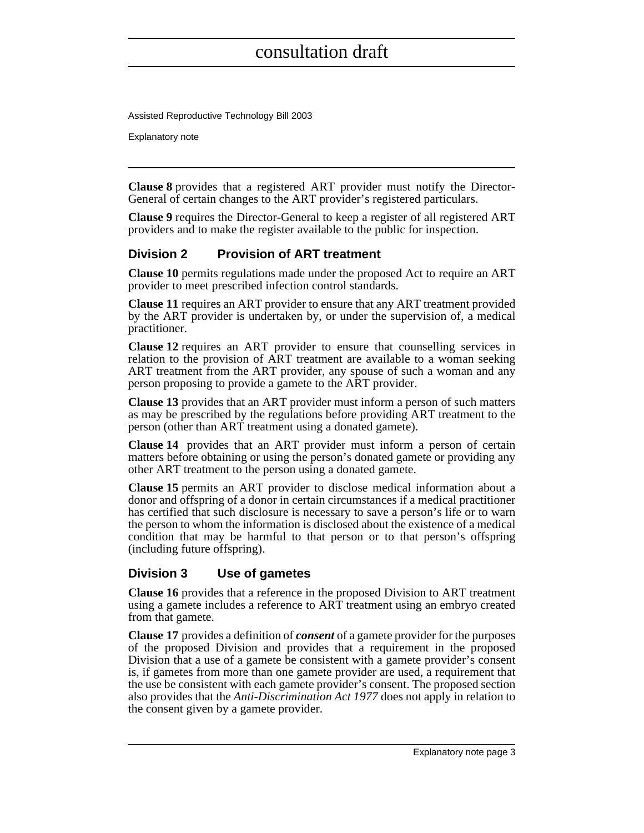Assisted Reproductive Technology Bill 2003

Explanatory note

**Clause 8** provides that a registered ART provider must notify the Director-General of certain changes to the ART provider's registered particulars.

**Clause 9** requires the Director-General to keep a register of all registered ART providers and to make the register available to the public for inspection.

#### **Division 2 Provision of ART treatment**

**Clause 10** permits regulations made under the proposed Act to require an ART provider to meet prescribed infection control standards.

**Clause 11** requires an ART provider to ensure that any ART treatment provided by the ART provider is undertaken by, or under the supervision of, a medical practitioner.

**Clause 12** requires an ART provider to ensure that counselling services in relation to the provision of ART treatment are available to a woman seeking ART treatment from the ART provider, any spouse of such a woman and any person proposing to provide a gamete to the ART provider.

**Clause 13** provides that an ART provider must inform a person of such matters as may be prescribed by the regulations before providing ART treatment to the person (other than ART treatment using a donated gamete).

**Clause 14** provides that an ART provider must inform a person of certain matters before obtaining or using the person's donated gamete or providing any other ART treatment to the person using a donated gamete.

**Clause 15** permits an ART provider to disclose medical information about a donor and offspring of a donor in certain circumstances if a medical practitioner has certified that such disclosure is necessary to save a person's life or to warn the person to whom the information is disclosed about the existence of a medical condition that may be harmful to that person or to that person's offspring (including future offspring).

#### **Division 3 Use of gametes**

**Clause 16** provides that a reference in the proposed Division to ART treatment using a gamete includes a reference to ART treatment using an embryo created from that gamete.

**Clause 17** provides a definition of *consent* of a gamete provider for the purposes of the proposed Division and provides that a requirement in the proposed Division that a use of a gamete be consistent with a gamete provider's consent is, if gametes from more than one gamete provider are used, a requirement that the use be consistent with each gamete provider's consent. The proposed section also provides that the *Anti-Discrimination Act 1977* does not apply in relation to the consent given by a gamete provider.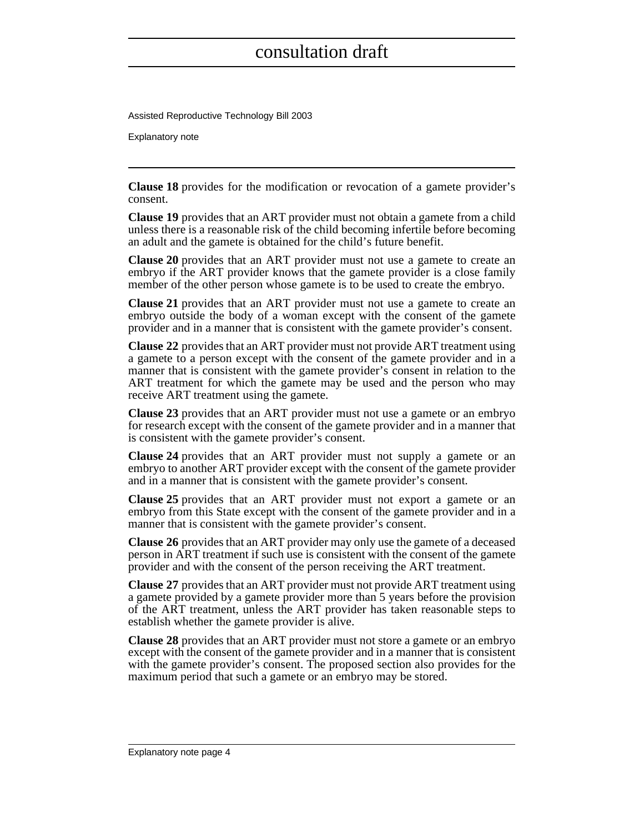Assisted Reproductive Technology Bill 2003

Explanatory note

**Clause 18** provides for the modification or revocation of a gamete provider's consent.

**Clause 19** provides that an ART provider must not obtain a gamete from a child unless there is a reasonable risk of the child becoming infertile before becoming an adult and the gamete is obtained for the child's future benefit.

**Clause 20** provides that an ART provider must not use a gamete to create an embryo if the ART provider knows that the gamete provider is a close family member of the other person whose gamete is to be used to create the embryo.

**Clause 21** provides that an ART provider must not use a gamete to create an embryo outside the body of a woman except with the consent of the gamete provider and in a manner that is consistent with the gamete provider's consent.

**Clause 22** provides that an ART provider must not provide ART treatment using a gamete to a person except with the consent of the gamete provider and in a manner that is consistent with the gamete provider's consent in relation to the ART treatment for which the gamete may be used and the person who may receive ART treatment using the gamete.

**Clause 23** provides that an ART provider must not use a gamete or an embryo for research except with the consent of the gamete provider and in a manner that is consistent with the gamete provider's consent.

**Clause 24** provides that an ART provider must not supply a gamete or an embryo to another ART provider except with the consent of the gamete provider and in a manner that is consistent with the gamete provider's consent.

**Clause 25** provides that an ART provider must not export a gamete or an embryo from this State except with the consent of the gamete provider and in a manner that is consistent with the gamete provider's consent.

**Clause 26** provides that an ART provider may only use the gamete of a deceased person in ART treatment if such use is consistent with the consent of the gamete provider and with the consent of the person receiving the ART treatment.

**Clause 27** provides that an ART provider must not provide ART treatment using a gamete provided by a gamete provider more than 5 years before the provision of the ART treatment, unless the ART provider has taken reasonable steps to establish whether the gamete provider is alive.

**Clause 28** provides that an ART provider must not store a gamete or an embryo except with the consent of the gamete provider and in a manner that is consistent with the gamete provider's consent. The proposed section also provides for the maximum period that such a gamete or an embryo may be stored.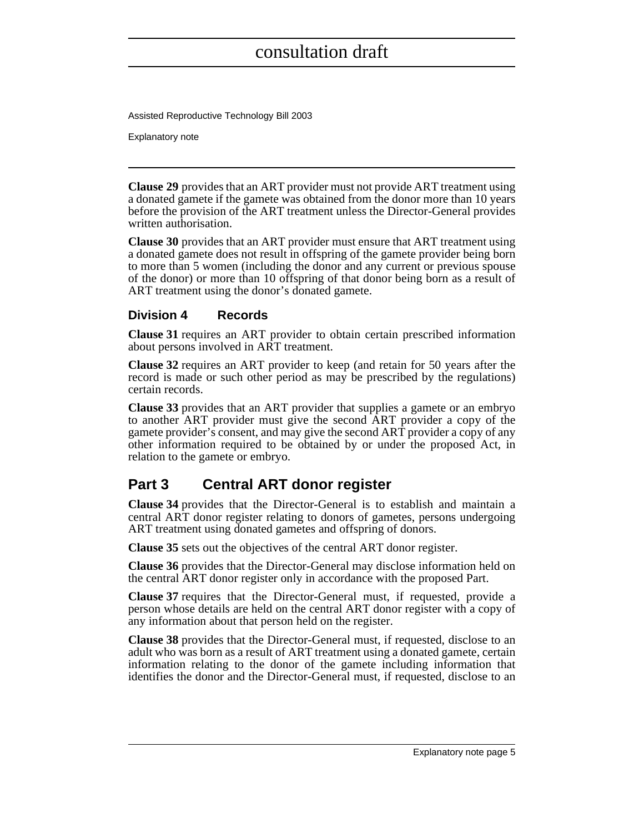Assisted Reproductive Technology Bill 2003

Explanatory note

**Clause 29** provides that an ART provider must not provide ART treatment using a donated gamete if the gamete was obtained from the donor more than 10 years before the provision of the ART treatment unless the Director-General provides written authorisation.

**Clause 30** provides that an ART provider must ensure that ART treatment using a donated gamete does not result in offspring of the gamete provider being born to more than 5 women (including the donor and any current or previous spouse of the donor) or more than 10 offspring of that donor being born as a result of ART treatment using the donor's donated gamete.

#### **Division 4 Records**

**Clause 31** requires an ART provider to obtain certain prescribed information about persons involved in ART treatment.

**Clause 32** requires an ART provider to keep (and retain for 50 years after the record is made or such other period as may be prescribed by the regulations) certain records.

**Clause 33** provides that an ART provider that supplies a gamete or an embryo to another ART provider must give the second ART provider a copy of the gamete provider's consent, and may give the second ART provider a copy of any other information required to be obtained by or under the proposed Act, in relation to the gamete or embryo.

### **Part 3 Central ART donor register**

**Clause 34** provides that the Director-General is to establish and maintain a central ART donor register relating to donors of gametes, persons undergoing ART treatment using donated gametes and offspring of donors.

**Clause 35** sets out the objectives of the central ART donor register.

**Clause 36** provides that the Director-General may disclose information held on the central ART donor register only in accordance with the proposed Part.

**Clause 37** requires that the Director-General must, if requested, provide a person whose details are held on the central ART donor register with a copy of any information about that person held on the register.

**Clause 38** provides that the Director-General must, if requested, disclose to an adult who was born as a result of ART treatment using a donated gamete, certain information relating to the donor of the gamete including information that identifies the donor and the Director-General must, if requested, disclose to an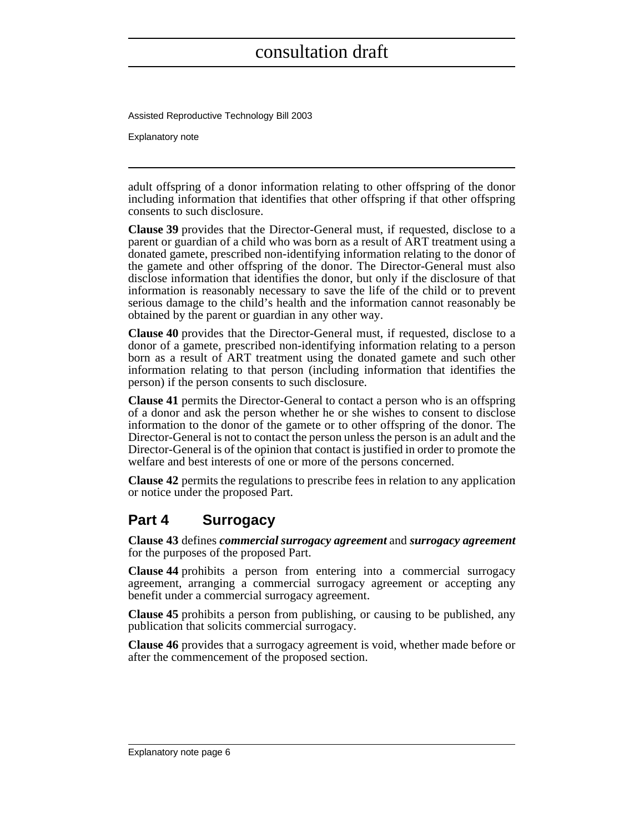Assisted Reproductive Technology Bill 2003

Explanatory note

adult offspring of a donor information relating to other offspring of the donor including information that identifies that other offspring if that other offspring consents to such disclosure.

**Clause 39** provides that the Director-General must, if requested, disclose to a parent or guardian of a child who was born as a result of ART treatment using a donated gamete, prescribed non-identifying information relating to the donor of the gamete and other offspring of the donor. The Director-General must also disclose information that identifies the donor, but only if the disclosure of that information is reasonably necessary to save the life of the child or to prevent serious damage to the child's health and the information cannot reasonably be obtained by the parent or guardian in any other way.

**Clause 40** provides that the Director-General must, if requested, disclose to a donor of a gamete, prescribed non-identifying information relating to a person born as a result of ART treatment using the donated gamete and such other information relating to that person (including information that identifies the person) if the person consents to such disclosure.

**Clause 41** permits the Director-General to contact a person who is an offspring of a donor and ask the person whether he or she wishes to consent to disclose information to the donor of the gamete or to other offspring of the donor. The Director-General is not to contact the person unless the person is an adult and the Director-General is of the opinion that contact is justified in order to promote the welfare and best interests of one or more of the persons concerned.

**Clause 42** permits the regulations to prescribe fees in relation to any application or notice under the proposed Part.

### **Part 4 Surrogacy**

**Clause 43** defines *commercial surrogacy agreement* and *surrogacy agreement* for the purposes of the proposed Part.

**Clause 44** prohibits a person from entering into a commercial surrogacy agreement, arranging a commercial surrogacy agreement or accepting any benefit under a commercial surrogacy agreement.

**Clause 45** prohibits a person from publishing, or causing to be published, any publication that solicits commercial surrogacy.

**Clause 46** provides that a surrogacy agreement is void, whether made before or after the commencement of the proposed section.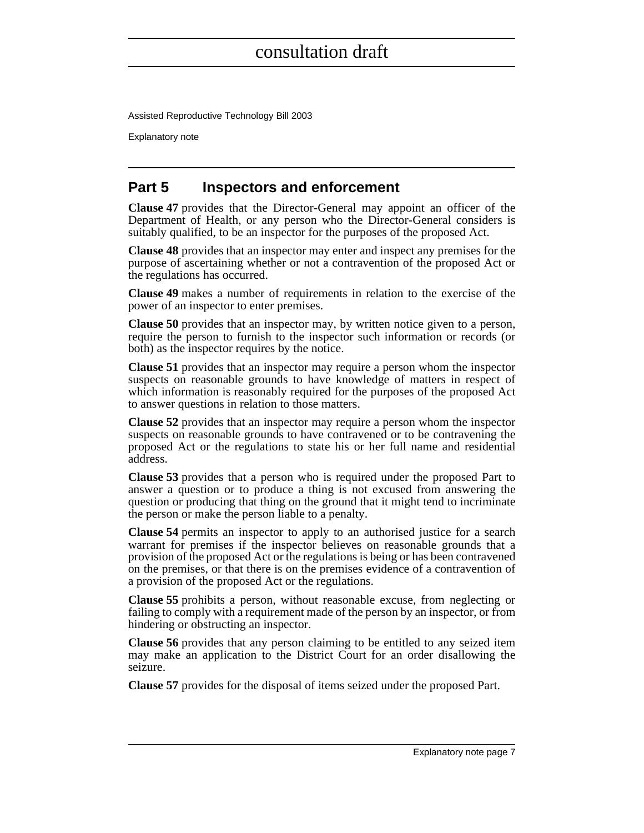Assisted Reproductive Technology Bill 2003

Explanatory note

### **Part 5 Inspectors and enforcement**

**Clause 47** provides that the Director-General may appoint an officer of the Department of Health, or any person who the Director-General considers is suitably qualified, to be an inspector for the purposes of the proposed Act.

**Clause 48** provides that an inspector may enter and inspect any premises for the purpose of ascertaining whether or not a contravention of the proposed Act or the regulations has occurred.

**Clause 49** makes a number of requirements in relation to the exercise of the power of an inspector to enter premises.

**Clause 50** provides that an inspector may, by written notice given to a person, require the person to furnish to the inspector such information or records (or both) as the inspector requires by the notice.

**Clause 51** provides that an inspector may require a person whom the inspector suspects on reasonable grounds to have knowledge of matters in respect of which information is reasonably required for the purposes of the proposed Act to answer questions in relation to those matters.

**Clause 52** provides that an inspector may require a person whom the inspector suspects on reasonable grounds to have contravened or to be contravening the proposed Act or the regulations to state his or her full name and residential address.

**Clause 53** provides that a person who is required under the proposed Part to answer a question or to produce a thing is not excused from answering the question or producing that thing on the ground that it might tend to incriminate the person or make the person liable to a penalty.

**Clause 54** permits an inspector to apply to an authorised justice for a search warrant for premises if the inspector believes on reasonable grounds that a provision of the proposed Act or the regulations is being or has been contravened on the premises, or that there is on the premises evidence of a contravention of a provision of the proposed Act or the regulations.

**Clause 55** prohibits a person, without reasonable excuse, from neglecting or failing to comply with a requirement made of the person by an inspector, or from hindering or obstructing an inspector.

**Clause 56** provides that any person claiming to be entitled to any seized item may make an application to the District Court for an order disallowing the seizure.

**Clause 57** provides for the disposal of items seized under the proposed Part.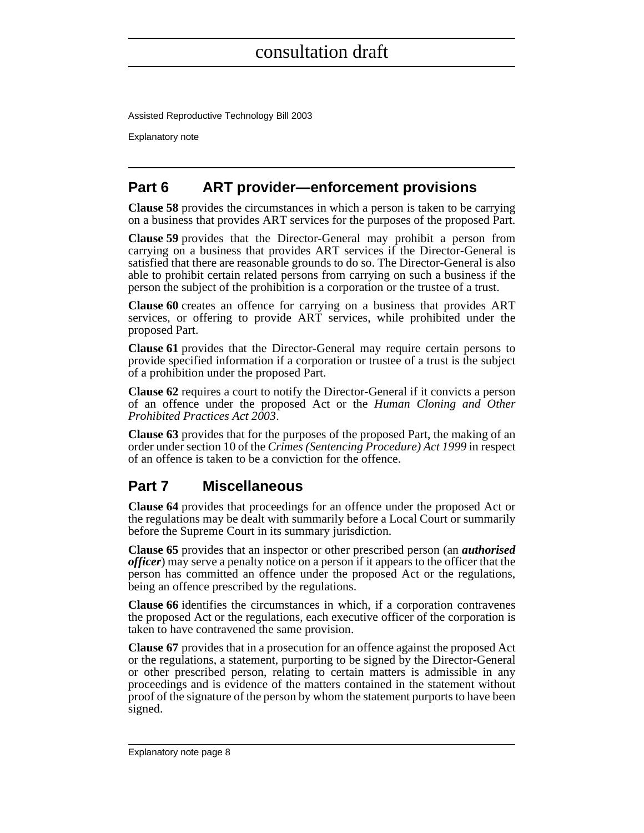Assisted Reproductive Technology Bill 2003

Explanatory note

### **Part 6 ART provider—enforcement provisions**

**Clause 58** provides the circumstances in which a person is taken to be carrying on a business that provides ART services for the purposes of the proposed Part.

**Clause 59** provides that the Director-General may prohibit a person from carrying on a business that provides ART services if the Director-General is satisfied that there are reasonable grounds to do so. The Director-General is also able to prohibit certain related persons from carrying on such a business if the person the subject of the prohibition is a corporation or the trustee of a trust.

**Clause 60** creates an offence for carrying on a business that provides ART services, or offering to provide ART services, while prohibited under the proposed Part.

**Clause 61** provides that the Director-General may require certain persons to provide specified information if a corporation or trustee of a trust is the subject of a prohibition under the proposed Part.

**Clause 62** requires a court to notify the Director-General if it convicts a person of an offence under the proposed Act or the *Human Cloning and Other Prohibited Practices Act 2003*.

**Clause 63** provides that for the purposes of the proposed Part, the making of an order under section 10 of the *Crimes (Sentencing Procedure) Act 1999* in respect of an offence is taken to be a conviction for the offence.

### **Part 7 Miscellaneous**

**Clause 64** provides that proceedings for an offence under the proposed Act or the regulations may be dealt with summarily before a Local Court or summarily before the Supreme Court in its summary jurisdiction.

**Clause 65** provides that an inspector or other prescribed person (an *authorised officer*) may serve a penalty notice on a person if it appears to the officer that the person has committed an offence under the proposed Act or the regulations, being an offence prescribed by the regulations.

**Clause 66** identifies the circumstances in which, if a corporation contravenes the proposed Act or the regulations, each executive officer of the corporation is taken to have contravened the same provision.

**Clause 67** provides that in a prosecution for an offence against the proposed Act or the regulations, a statement, purporting to be signed by the Director-General or other prescribed person, relating to certain matters is admissible in any proceedings and is evidence of the matters contained in the statement without proof of the signature of the person by whom the statement purports to have been signed.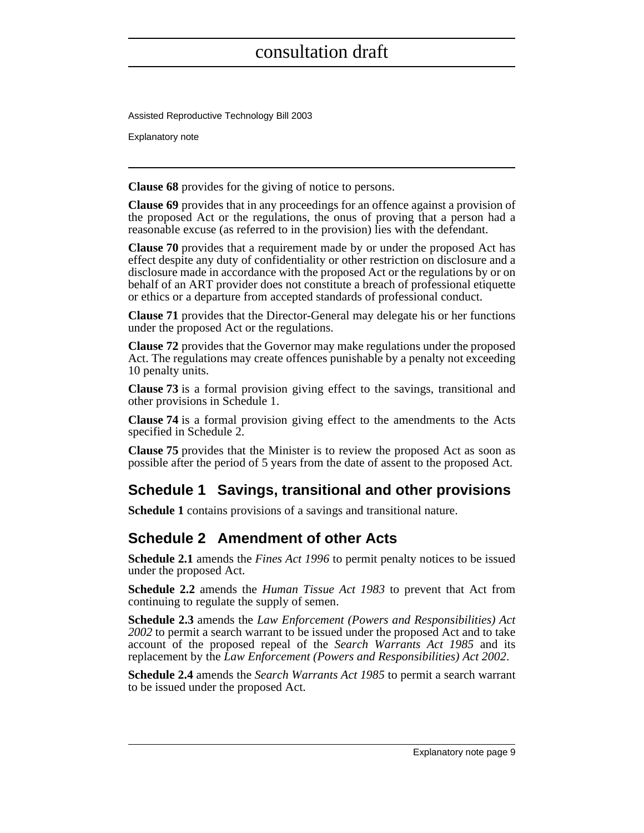Assisted Reproductive Technology Bill 2003

Explanatory note

**Clause 68** provides for the giving of notice to persons.

**Clause 69** provides that in any proceedings for an offence against a provision of the proposed Act or the regulations, the onus of proving that a person had a reasonable excuse (as referred to in the provision) lies with the defendant.

**Clause 70** provides that a requirement made by or under the proposed Act has effect despite any duty of confidentiality or other restriction on disclosure and a disclosure made in accordance with the proposed Act or the regulations by or on behalf of an ART provider does not constitute a breach of professional etiquette or ethics or a departure from accepted standards of professional conduct.

**Clause 71** provides that the Director-General may delegate his or her functions under the proposed Act or the regulations.

**Clause 72** provides that the Governor may make regulations under the proposed Act. The regulations may create offences punishable by a penalty not exceeding 10 penalty units.

**Clause 73** is a formal provision giving effect to the savings, transitional and other provisions in Schedule 1.

**Clause 74** is a formal provision giving effect to the amendments to the Acts specified in Schedule 2.

**Clause 75** provides that the Minister is to review the proposed Act as soon as possible after the period of 5 years from the date of assent to the proposed Act.

### **Schedule 1 Savings, transitional and other provisions**

**Schedule 1** contains provisions of a savings and transitional nature.

### **Schedule 2 Amendment of other Acts**

**Schedule 2.1** amends the *Fines Act 1996* to permit penalty notices to be issued under the proposed Act.

**Schedule 2.2** amends the *Human Tissue Act 1983* to prevent that Act from continuing to regulate the supply of semen.

**Schedule 2.3** amends the *Law Enforcement (Powers and Responsibilities) Act 2002* to permit a search warrant to be issued under the proposed Act and to take account of the proposed repeal of the *Search Warrants Act 1985* and its replacement by the *Law Enforcement (Powers and Responsibilities) Act 2002*.

**Schedule 2.4** amends the *Search Warrants Act 1985* to permit a search warrant to be issued under the proposed Act.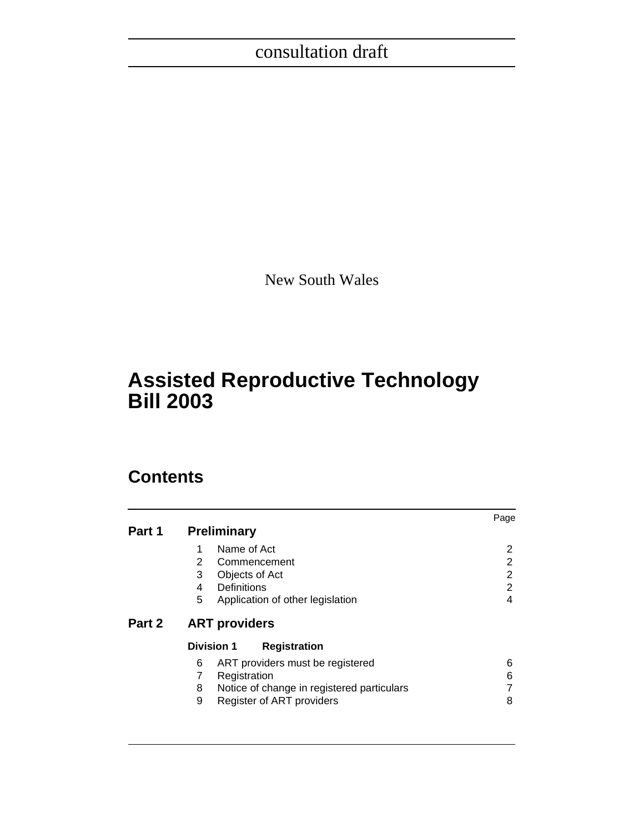New South Wales

# **Assisted Reproductive Technology Bill 2003**

# **Contents**

|        |                                                                                                                                                 | Page                               |
|--------|-------------------------------------------------------------------------------------------------------------------------------------------------|------------------------------------|
| Part 1 | <b>Preliminary</b>                                                                                                                              |                                    |
|        | Name of Act<br>1<br>2<br>Commencement<br>3<br>Objects of Act<br>Definitions<br>4<br>5<br>Application of other legislation                       | 2<br>2<br>2<br>$\overline{2}$<br>4 |
| Part 2 | <b>ART providers</b>                                                                                                                            |                                    |
|        | <b>Division 1</b><br><b>Registration</b>                                                                                                        |                                    |
|        | ART providers must be registered<br>6<br>7<br>Registration<br>Notice of change in registered particulars<br>8<br>9<br>Register of ART providers | 6<br>6<br>8                        |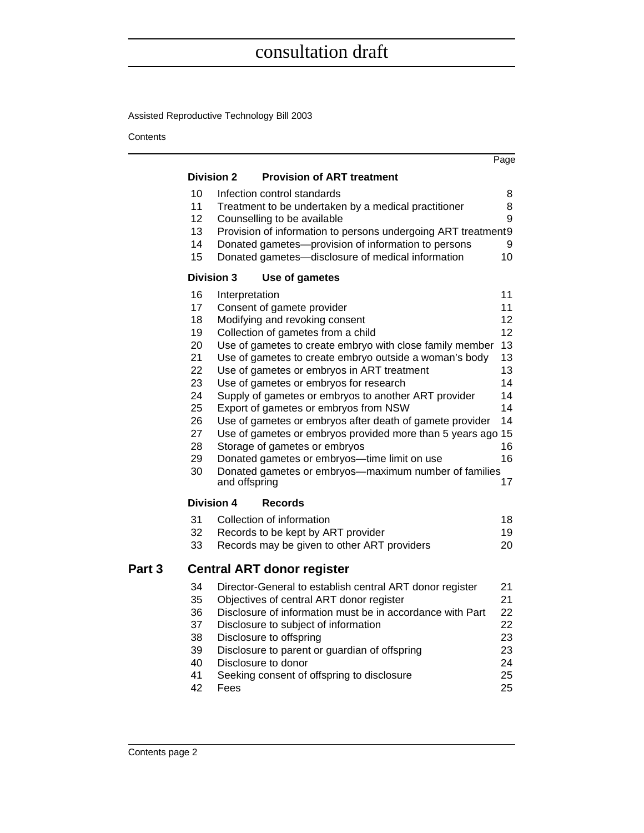Assisted Reproductive Technology Bill 2003

Contents

|        |                   |                                                                                                | Page     |
|--------|-------------------|------------------------------------------------------------------------------------------------|----------|
|        | <b>Division 2</b> | <b>Provision of ART treatment</b>                                                              |          |
|        | 10                | Infection control standards                                                                    | 8        |
|        | 11                | Treatment to be undertaken by a medical practitioner                                           | 8        |
|        | 12                | Counselling to be available                                                                    | 9        |
|        | 13                | Provision of information to persons undergoing ART treatment9                                  |          |
|        | 14                | Donated gametes-provision of information to persons                                            | 9        |
|        | 15                | Donated gametes-disclosure of medical information                                              | 10       |
|        | <b>Division 3</b> | Use of gametes                                                                                 |          |
|        | 16                | Interpretation                                                                                 | 11       |
|        | 17                | Consent of gamete provider                                                                     | 11       |
|        | 18                | Modifying and revoking consent                                                                 | 12       |
|        | 19                | Collection of gametes from a child                                                             | 12       |
|        | 20                | Use of gametes to create embryo with close family member                                       | 13       |
|        | 21                | Use of gametes to create embryo outside a woman's body                                         | 13       |
|        | 22<br>23          | Use of gametes or embryos in ART treatment                                                     | 13       |
|        | 24                | Use of gametes or embryos for research<br>Supply of gametes or embryos to another ART provider | 14<br>14 |
|        | 25                | Export of gametes or embryos from NSW                                                          | 14       |
|        | 26                | Use of gametes or embryos after death of gamete provider                                       | 14       |
|        | 27                | Use of gametes or embryos provided more than 5 years ago 15                                    |          |
|        | 28                | Storage of gametes or embryos                                                                  | 16       |
|        | 29                | Donated gametes or embryos-time limit on use                                                   | 16       |
|        | 30                | Donated gametes or embryos-maximum number of families<br>and offspring                         | 17       |
|        | <b>Division 4</b> | <b>Records</b>                                                                                 |          |
|        | 31                | Collection of information                                                                      | 18       |
|        | 32                | Records to be kept by ART provider                                                             | 19       |
|        | 33                | Records may be given to other ART providers                                                    | 20       |
|        |                   |                                                                                                |          |
| Part 3 |                   | <b>Central ART donor register</b>                                                              |          |
|        | 34                | Director-General to establish central ART donor register                                       | 21       |
|        | 35                | Objectives of central ART donor register                                                       | 21       |
|        | 36                | Disclosure of information must be in accordance with Part                                      | 22       |
|        | 37                | Disclosure to subject of information                                                           | 22       |
|        | 38                | Disclosure to offspring                                                                        | 23       |
|        | 39                | Disclosure to parent or guardian of offspring                                                  | 23       |
|        | 40                | Disclosure to donor                                                                            | 24       |
|        | 41                | Seeking consent of offspring to disclosure                                                     | 25<br>25 |
|        | 42                | Fees                                                                                           |          |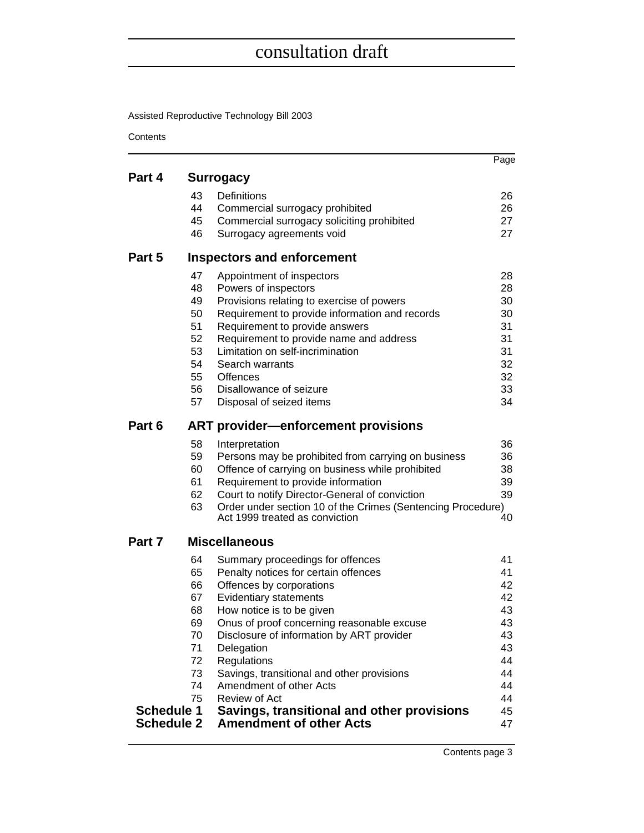Assisted Reproductive Technology Bill 2003

Contents

|                   |          |                                                                                      | Page     |
|-------------------|----------|--------------------------------------------------------------------------------------|----------|
| Part 4            |          | <b>Surrogacy</b>                                                                     |          |
|                   | 43       | Definitions                                                                          | 26       |
|                   | 44       | Commercial surrogacy prohibited                                                      | 26       |
|                   | 45       | Commercial surrogacy soliciting prohibited                                           | 27       |
|                   | 46       | Surrogacy agreements void                                                            | 27       |
| Part 5            |          | Inspectors and enforcement                                                           |          |
|                   | 47       | Appointment of inspectors                                                            | 28       |
|                   | 48       | Powers of inspectors                                                                 | 28       |
|                   | 49       | Provisions relating to exercise of powers                                            | 30       |
|                   | 50<br>51 | Requirement to provide information and records                                       | 30<br>31 |
|                   | 52       | Requirement to provide answers<br>Requirement to provide name and address            | 31       |
|                   | 53       | Limitation on self-incrimination                                                     | 31       |
|                   | 54       | Search warrants                                                                      | 32       |
|                   | 55       | Offences                                                                             | 32       |
|                   | 56       | Disallowance of seizure                                                              | 33       |
|                   | 57       | Disposal of seized items                                                             | 34       |
| Part 6            |          | <b>ART provider-enforcement provisions</b>                                           |          |
|                   | 58       | Interpretation                                                                       | 36       |
|                   | 59       | Persons may be prohibited from carrying on business                                  | 36       |
|                   | 60       | Offence of carrying on business while prohibited                                     | 38       |
|                   | 61<br>62 | Requirement to provide information<br>Court to notify Director-General of conviction | 39<br>39 |
|                   | 63       | Order under section 10 of the Crimes (Sentencing Procedure)                          |          |
|                   |          | Act 1999 treated as conviction                                                       | 40       |
| Part 7            |          | <b>Miscellaneous</b>                                                                 |          |
|                   | 64       | Summary proceedings for offences                                                     | 41       |
|                   | 65       | Penalty notices for certain offences                                                 | 41       |
|                   | 66       | Offences by corporations                                                             | 42       |
|                   | 67<br>68 | <b>Evidentiary statements</b><br>How notice is to be given                           | 42<br>43 |
|                   | 69       | Onus of proof concerning reasonable excuse                                           | 43       |
|                   | 70       | Disclosure of information by ART provider                                            | 43       |
|                   | 71       | Delegation                                                                           | 43       |
|                   | 72       | Regulations                                                                          | 44       |
|                   | 73       | Savings, transitional and other provisions                                           | 44       |
|                   | 74       | Amendment of other Acts                                                              | 44       |
| <b>Schedule 1</b> | 75       | Review of Act<br>Savings, transitional and other provisions                          | 44<br>45 |
| <b>Schedule 2</b> |          | <b>Amendment of other Acts</b>                                                       | 47       |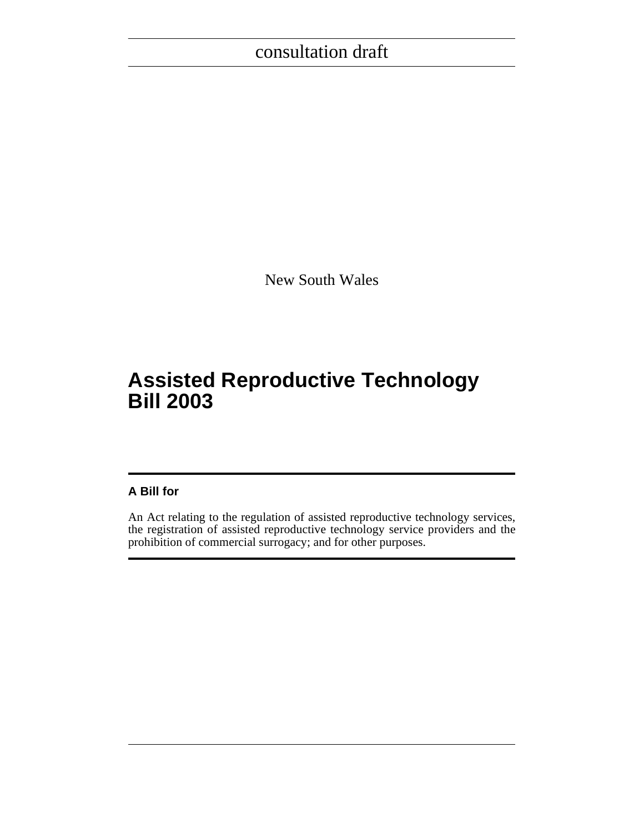New South Wales

# **Assisted Reproductive Technology Bill 2003**

### **A Bill for**

An Act relating to the regulation of assisted reproductive technology services, the registration of assisted reproductive technology service providers and the prohibition of commercial surrogacy; and for other purposes.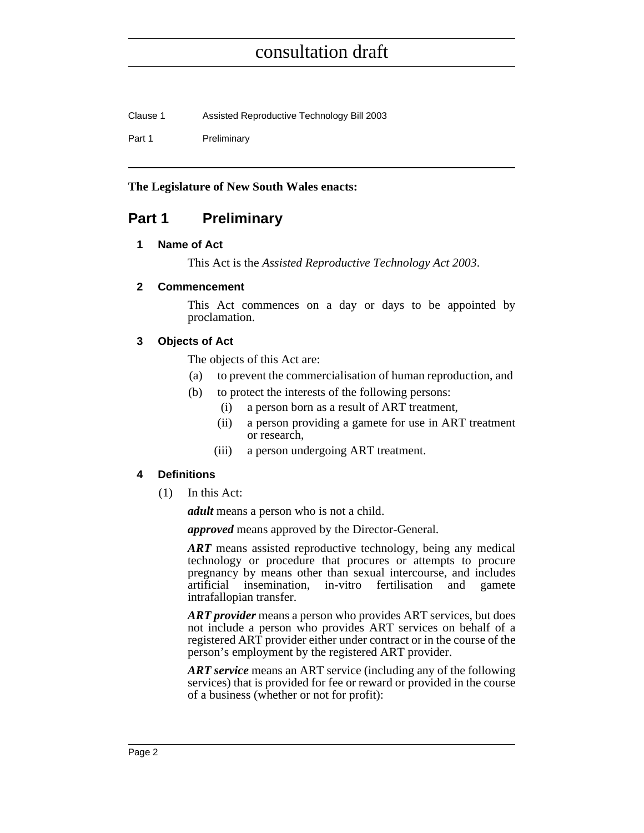| Clause 1 | Assisted Reproductive Technology Bill 2003 |
|----------|--------------------------------------------|
| Part 1   | Preliminary                                |

#### **The Legislature of New South Wales enacts:**

### <span id="page-17-1"></span><span id="page-17-0"></span>**Part 1 Preliminary**

#### **1 Name of Act**

This Act is the *Assisted Reproductive Technology Act 2003*.

#### <span id="page-17-2"></span>**2 Commencement**

This Act commences on a day or days to be appointed by proclamation.

#### <span id="page-17-3"></span>**3 Objects of Act**

The objects of this Act are:

- (a) to prevent the commercialisation of human reproduction, and
- (b) to protect the interests of the following persons:
	- (i) a person born as a result of ART treatment,
	- (ii) a person providing a gamete for use in ART treatment or research,
	- (iii) a person undergoing ART treatment.

#### <span id="page-17-4"></span>**4 Definitions**

(1) In this Act:

*adult* means a person who is not a child.

*approved* means approved by the Director-General.

*ART* means assisted reproductive technology, being any medical technology or procedure that procures or attempts to procure pregnancy by means other than sexual intercourse, and includes artificial insemination, in-vitro fertilisation and gamete intrafallopian transfer.

*ART provider* means a person who provides ART services, but does not include a person who provides ART services on behalf of a registered ART provider either under contract or in the course of the person's employment by the registered ART provider.

*ART service* means an ART service (including any of the following services) that is provided for fee or reward or provided in the course of a business (whether or not for profit):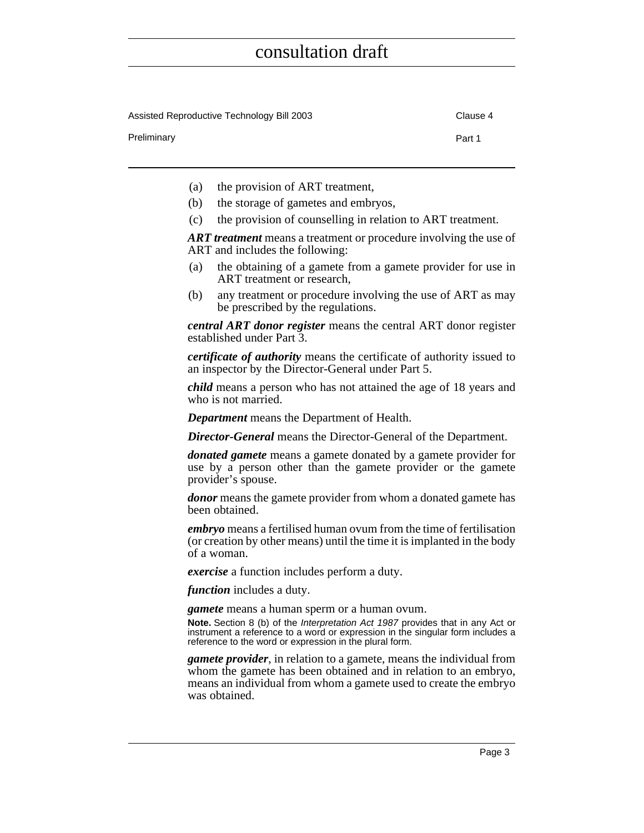| Assisted Reproductive Technology Bill 2003 | Clause 4 |
|--------------------------------------------|----------|
| Preliminary                                | Part 1   |

- (a) the provision of ART treatment,
- (b) the storage of gametes and embryos,
- (c) the provision of counselling in relation to ART treatment.

*ART treatment* means a treatment or procedure involving the use of ART and includes the following:

- (a) the obtaining of a gamete from a gamete provider for use in ART treatment or research,
- (b) any treatment or procedure involving the use of ART as may be prescribed by the regulations.

*central ART donor register* means the central ART donor register established under Part 3.

*certificate of authority* means the certificate of authority issued to an inspector by the Director-General under Part 5.

*child* means a person who has not attained the age of 18 years and who is not married.

*Department* means the Department of Health.

*Director-General* means the Director-General of the Department.

*donated gamete* means a gamete donated by a gamete provider for use by a person other than the gamete provider or the gamete provider's spouse.

*donor* means the gamete provider from whom a donated gamete has been obtained.

*embryo* means a fertilised human ovum from the time of fertilisation (or creation by other means) until the time it is implanted in the body of a woman.

*exercise* a function includes perform a duty.

*function* includes a duty.

*gamete* means a human sperm or a human ovum.

**Note.** Section 8 (b) of the Interpretation Act 1987 provides that in any Act or instrument a reference to a word or expression in the singular form includes a reference to the word or expression in the plural form.

*gamete provider*, in relation to a gamete, means the individual from whom the gamete has been obtained and in relation to an embryo, means an individual from whom a gamete used to create the embryo was obtained.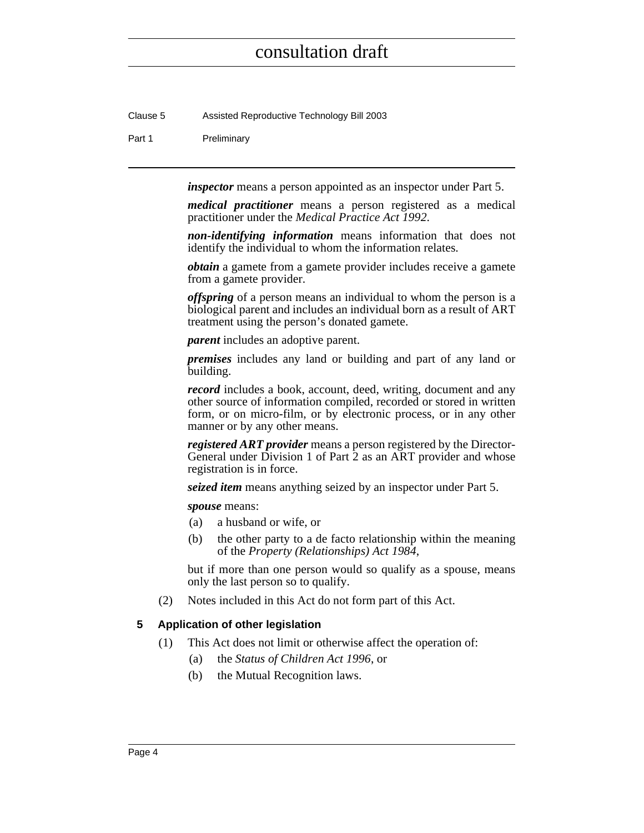Clause 5 Assisted Reproductive Technology Bill 2003

#### Part 1 Preliminary

*inspector* means a person appointed as an inspector under Part 5.

*medical practitioner* means a person registered as a medical practitioner under the *Medical Practice Act 1992*.

*non-identifying information* means information that does not identify the individual to whom the information relates.

*obtain* a gamete from a gamete provider includes receive a gamete from a gamete provider.

*offspring* of a person means an individual to whom the person is a biological parent and includes an individual born as a result of ART treatment using the person's donated gamete.

*parent* includes an adoptive parent.

*premises* includes any land or building and part of any land or building.

*record* includes a book, account, deed, writing, document and any other source of information compiled, recorded or stored in written form, or on micro-film, or by electronic process, or in any other manner or by any other means.

*registered ART provider* means a person registered by the Director-General under Division 1 of Part 2 as an ART provider and whose registration is in force.

*seized item* means anything seized by an inspector under Part 5.

*spouse* means:

- (a) a husband or wife, or
- (b) the other party to a de facto relationship within the meaning of the *Property (Relationships) Act 1984*,

but if more than one person would so qualify as a spouse, means only the last person so to qualify.

(2) Notes included in this Act do not form part of this Act.

#### <span id="page-19-0"></span>**5 Application of other legislation**

- (1) This Act does not limit or otherwise affect the operation of:
	- (a) the *Status of Children Act 1996*, or
	- (b) the Mutual Recognition laws.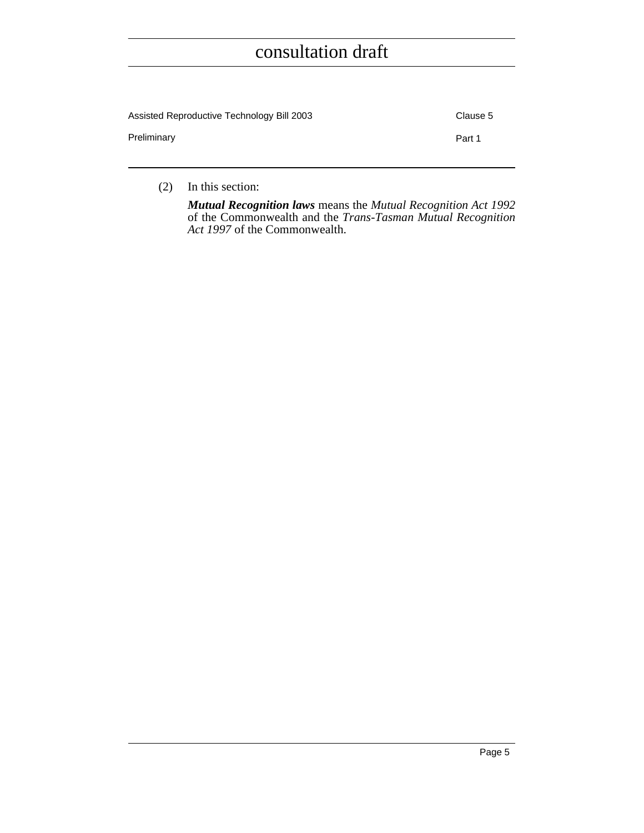| Assisted Reproductive Technology Bill 2003 | Clause 5 |
|--------------------------------------------|----------|
| Preliminary                                | Part 1   |
|                                            |          |

(2) In this section:

*Mutual Recognition laws* means the *Mutual Recognition Act 1992* of the Commonwealth and the *Trans-Tasman Mutual Recognition Act 1997* of the Commonwealth.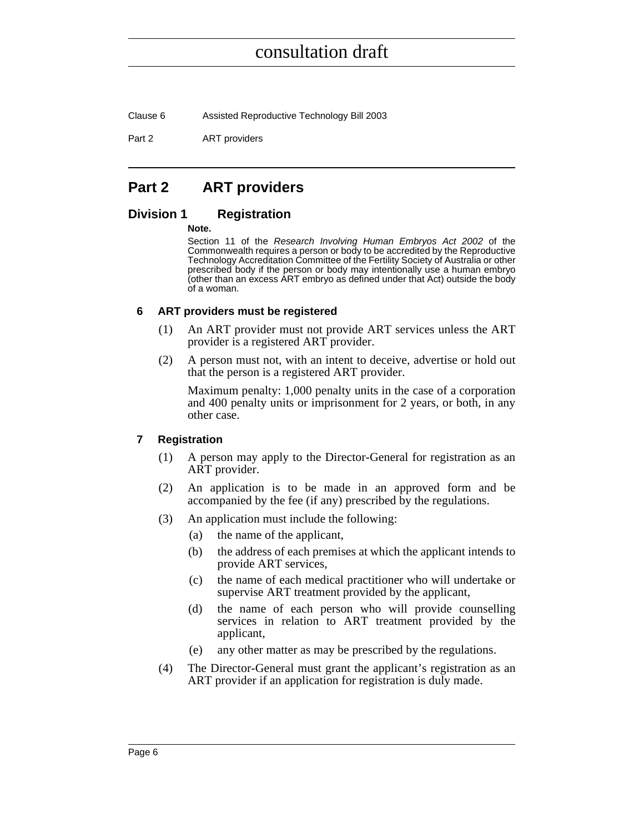Clause 6 Assisted Reproductive Technology Bill 2003

Part 2 **ART** providers

### <span id="page-21-0"></span>**Part 2 ART providers**

#### <span id="page-21-1"></span>**Division 1 Registration**

#### **Note.**

Section 11 of the Research Involving Human Embryos Act 2002 of the Commonwealth requires a person or body to be accredited by the Reproductive Technology Accreditation Committee of the Fertility Society of Australia or other prescribed body if the person or body may intentionally use a human embryo (other than an excess ART embryo as defined under that Act) outside the body of a woman.

#### <span id="page-21-2"></span>**6 ART providers must be registered**

- (1) An ART provider must not provide ART services unless the ART provider is a registered ART provider.
- (2) A person must not, with an intent to deceive, advertise or hold out that the person is a registered ART provider.

Maximum penalty: 1,000 penalty units in the case of a corporation and 400 penalty units or imprisonment for 2 years, or both, in any other case.

#### <span id="page-21-3"></span>**7 Registration**

- (1) A person may apply to the Director-General for registration as an ART provider.
- (2) An application is to be made in an approved form and be accompanied by the fee (if any) prescribed by the regulations.
- (3) An application must include the following:
	- (a) the name of the applicant,
	- (b) the address of each premises at which the applicant intends to provide ART services,
	- (c) the name of each medical practitioner who will undertake or supervise ART treatment provided by the applicant,
	- (d) the name of each person who will provide counselling services in relation to ART treatment provided by the applicant,
	- (e) any other matter as may be prescribed by the regulations.
- (4) The Director-General must grant the applicant's registration as an ART provider if an application for registration is duly made.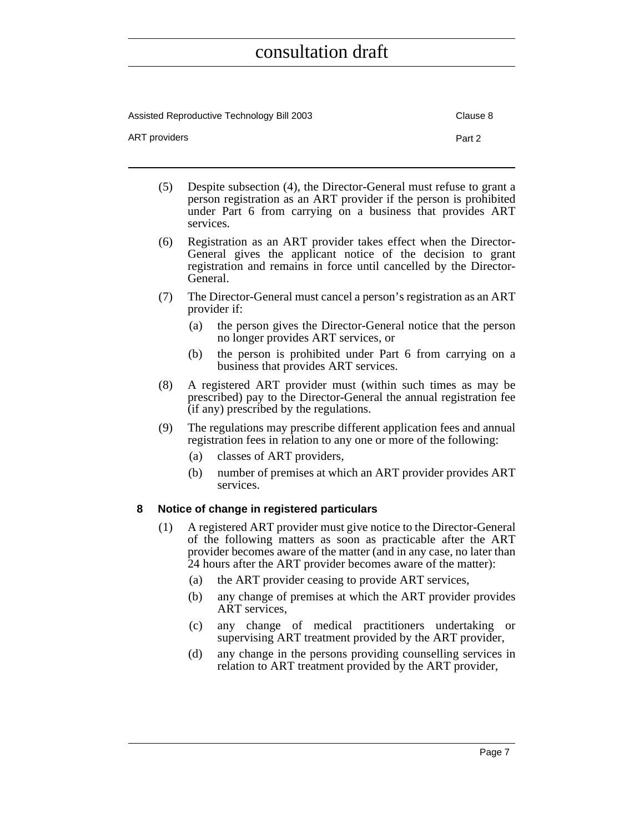Assisted Reproductive Technology Bill 2003 Clause 8 ART providers **Part 2** 

- (5) Despite subsection (4), the Director-General must refuse to grant a person registration as an ART provider if the person is prohibited under Part 6 from carrying on a business that provides ART services.
- (6) Registration as an ART provider takes effect when the Director-General gives the applicant notice of the decision to grant registration and remains in force until cancelled by the Director-General.
- (7) The Director-General must cancel a person's registration as an ART provider if:
	- (a) the person gives the Director-General notice that the person no longer provides ART services, or
	- (b) the person is prohibited under Part 6 from carrying on a business that provides ART services.
- (8) A registered ART provider must (within such times as may be prescribed) pay to the Director-General the annual registration fee (if any) prescribed by the regulations.
- (9) The regulations may prescribe different application fees and annual registration fees in relation to any one or more of the following:
	- (a) classes of ART providers,
	- (b) number of premises at which an ART provider provides ART services.

#### <span id="page-22-0"></span>**8 Notice of change in registered particulars**

- (1) A registered ART provider must give notice to the Director-General of the following matters as soon as practicable after the ART provider becomes aware of the matter (and in any case, no later than 24 hours after the ART provider becomes aware of the matter):
	- (a) the ART provider ceasing to provide ART services,
	- (b) any change of premises at which the ART provider provides ART services,
	- (c) any change of medical practitioners undertaking or supervising ART treatment provided by the ART provider,
	- (d) any change in the persons providing counselling services in relation to ART treatment provided by the ART provider,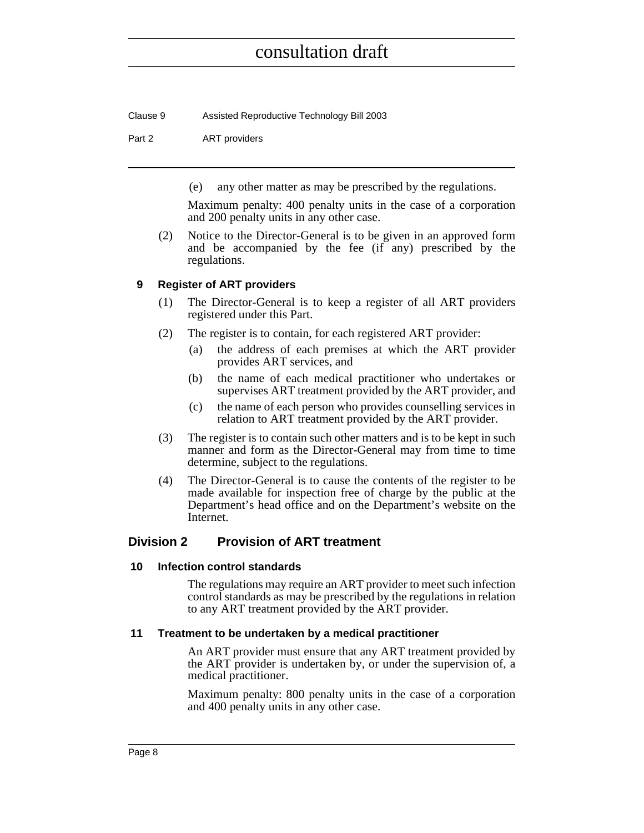Clause 9 Assisted Reproductive Technology Bill 2003

Part 2 **ART** providers

(e) any other matter as may be prescribed by the regulations.

Maximum penalty: 400 penalty units in the case of a corporation and 200 penalty units in any other case.

(2) Notice to the Director-General is to be given in an approved form and be accompanied by the fee (if any) prescribed by the regulations.

#### <span id="page-23-0"></span>**9 Register of ART providers**

- (1) The Director-General is to keep a register of all ART providers registered under this Part.
- (2) The register is to contain, for each registered ART provider:
	- (a) the address of each premises at which the ART provider provides ART services, and
	- (b) the name of each medical practitioner who undertakes or supervises ART treatment provided by the ART provider, and
	- (c) the name of each person who provides counselling services in relation to ART treatment provided by the ART provider.
- (3) The register is to contain such other matters and is to be kept in such manner and form as the Director-General may from time to time determine, subject to the regulations.
- (4) The Director-General is to cause the contents of the register to be made available for inspection free of charge by the public at the Department's head office and on the Department's website on the Internet.

#### <span id="page-23-1"></span>**Division 2 Provision of ART treatment**

#### <span id="page-23-2"></span>**10 Infection control standards**

The regulations may require an ART provider to meet such infection control standards as may be prescribed by the regulations in relation to any ART treatment provided by the ART provider.

#### <span id="page-23-3"></span>**11 Treatment to be undertaken by a medical practitioner**

An ART provider must ensure that any ART treatment provided by the ART provider is undertaken by, or under the supervision of, a medical practitioner.

Maximum penalty: 800 penalty units in the case of a corporation and 400 penalty units in any other case.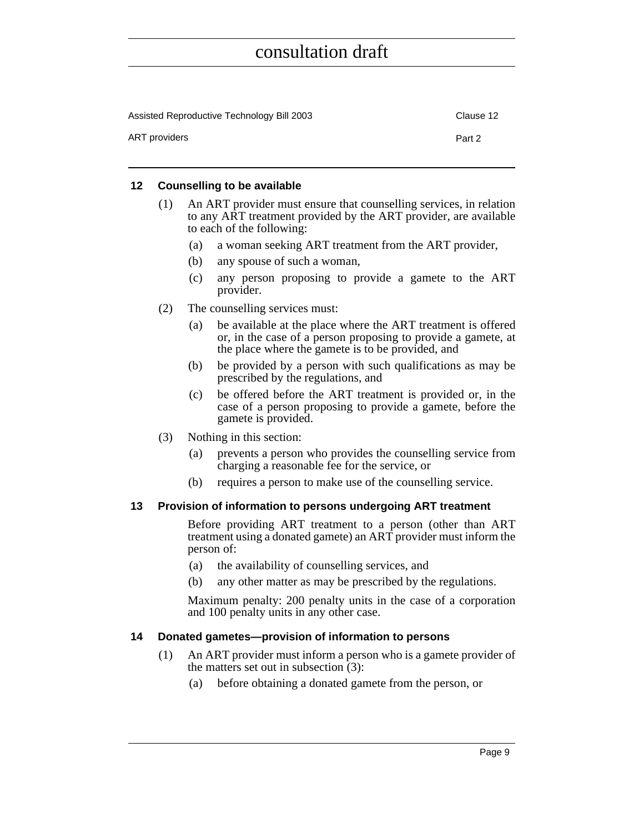| Assisted Reproductive Technology Bill 2003 | Clause 12 |
|--------------------------------------------|-----------|
| ART providers                              | Part 2    |

#### <span id="page-24-0"></span>**12 Counselling to be available**

- (1) An ART provider must ensure that counselling services, in relation to any ART treatment provided by the ART provider, are available to each of the following:
	- (a) a woman seeking ART treatment from the ART provider,
	- (b) any spouse of such a woman,
	- (c) any person proposing to provide a gamete to the ART provider.
- (2) The counselling services must:
	- (a) be available at the place where the ART treatment is offered or, in the case of a person proposing to provide a gamete, at the place where the gamete is to be provided, and
	- (b) be provided by a person with such qualifications as may be prescribed by the regulations, and
	- (c) be offered before the ART treatment is provided or, in the case of a person proposing to provide a gamete, before the gamete is provided.
- (3) Nothing in this section:
	- (a) prevents a person who provides the counselling service from charging a reasonable fee for the service, or
	- (b) requires a person to make use of the counselling service.

#### <span id="page-24-1"></span>**13 Provision of information to persons undergoing ART treatment**

Before providing ART treatment to a person (other than ART treatment using a donated gamete) an ART provider must inform the person of:

- (a) the availability of counselling services, and
- (b) any other matter as may be prescribed by the regulations.

Maximum penalty: 200 penalty units in the case of a corporation and 100 penalty units in any other case.

#### <span id="page-24-2"></span>**14 Donated gametes—provision of information to persons**

- (1) An ART provider must inform a person who is a gamete provider of the matters set out in subsection (3):
	- (a) before obtaining a donated gamete from the person, or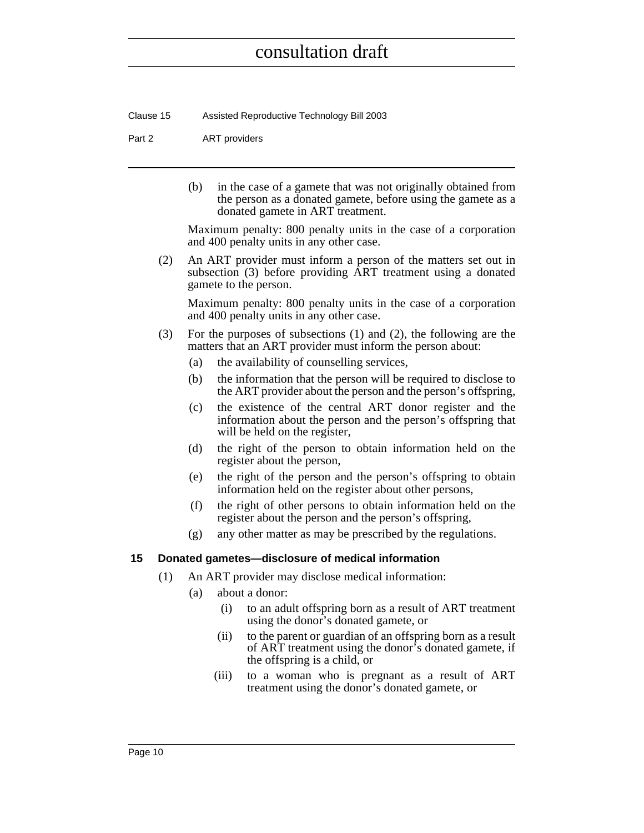Clause 15 Assisted Reproductive Technology Bill 2003

#### Part 2 **ART** providers

(b) in the case of a gamete that was not originally obtained from the person as a donated gamete, before using the gamete as a donated gamete in ART treatment.

Maximum penalty: 800 penalty units in the case of a corporation and 400 penalty units in any other case.

(2) An ART provider must inform a person of the matters set out in subsection (3) before providing ART treatment using a donated gamete to the person.

Maximum penalty: 800 penalty units in the case of a corporation and 400 penalty units in any other case.

- (3) For the purposes of subsections (1) and (2), the following are the matters that an ART provider must inform the person about:
	- (a) the availability of counselling services,
	- (b) the information that the person will be required to disclose to the ART provider about the person and the person's offspring,
	- (c) the existence of the central ART donor register and the information about the person and the person's offspring that will be held on the register,
	- (d) the right of the person to obtain information held on the register about the person,
	- (e) the right of the person and the person's offspring to obtain information held on the register about other persons,
	- (f) the right of other persons to obtain information held on the register about the person and the person's offspring,
	- (g) any other matter as may be prescribed by the regulations.

#### <span id="page-25-0"></span>**15 Donated gametes—disclosure of medical information**

- (1) An ART provider may disclose medical information:
	- (a) about a donor:
		- (i) to an adult offspring born as a result of ART treatment using the donor's donated gamete, or
		- (ii) to the parent or guardian of an offspring born as a result of ART treatment using the donor's donated gamete, if the offspring is a child, or
		- (iii) to a woman who is pregnant as a result of ART treatment using the donor's donated gamete, or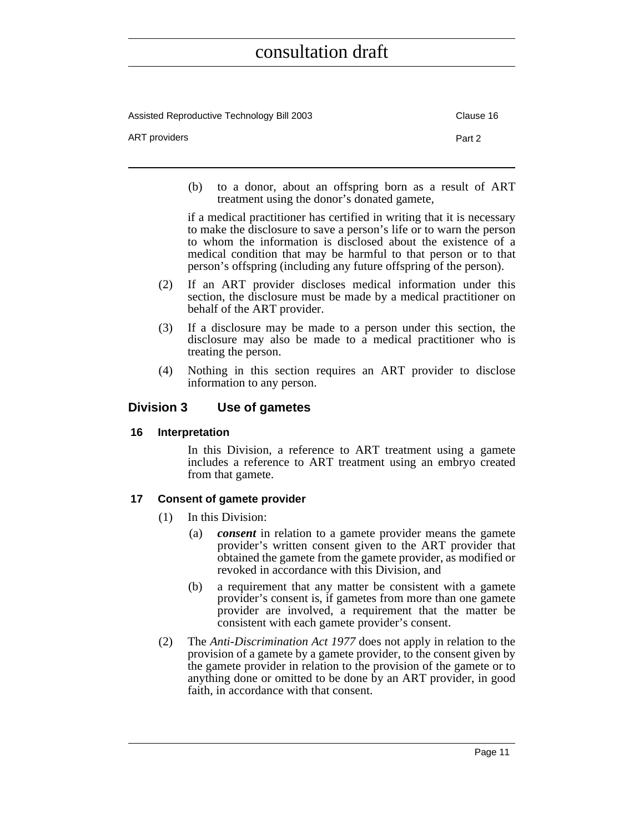| Assisted Reproductive Technology Bill 2003 | Clause 16 |
|--------------------------------------------|-----------|
| ART providers                              | Part 2    |

(b) to a donor, about an offspring born as a result of ART treatment using the donor's donated gamete,

if a medical practitioner has certified in writing that it is necessary to make the disclosure to save a person's life or to warn the person to whom the information is disclosed about the existence of a medical condition that may be harmful to that person or to that person's offspring (including any future offspring of the person).

- (2) If an ART provider discloses medical information under this section, the disclosure must be made by a medical practitioner on behalf of the ART provider.
- (3) If a disclosure may be made to a person under this section, the disclosure may also be made to a medical practitioner who is treating the person.
- (4) Nothing in this section requires an ART provider to disclose information to any person.

#### <span id="page-26-0"></span>**Division 3 Use of gametes**

#### <span id="page-26-1"></span>**16 Interpretation**

In this Division, a reference to ART treatment using a gamete includes a reference to ART treatment using an embryo created from that gamete.

#### <span id="page-26-2"></span>**17 Consent of gamete provider**

- (1) In this Division:
	- (a) *consent* in relation to a gamete provider means the gamete provider's written consent given to the ART provider that obtained the gamete from the gamete provider, as modified or revoked in accordance with this Division, and
	- (b) a requirement that any matter be consistent with a gamete provider's consent is, if gametes from more than one gamete provider are involved, a requirement that the matter be consistent with each gamete provider's consent.
- (2) The *Anti-Discrimination Act 1977* does not apply in relation to the provision of a gamete by a gamete provider, to the consent given by the gamete provider in relation to the provision of the gamete or to anything done or omitted to be done by an ART provider, in good faith, in accordance with that consent.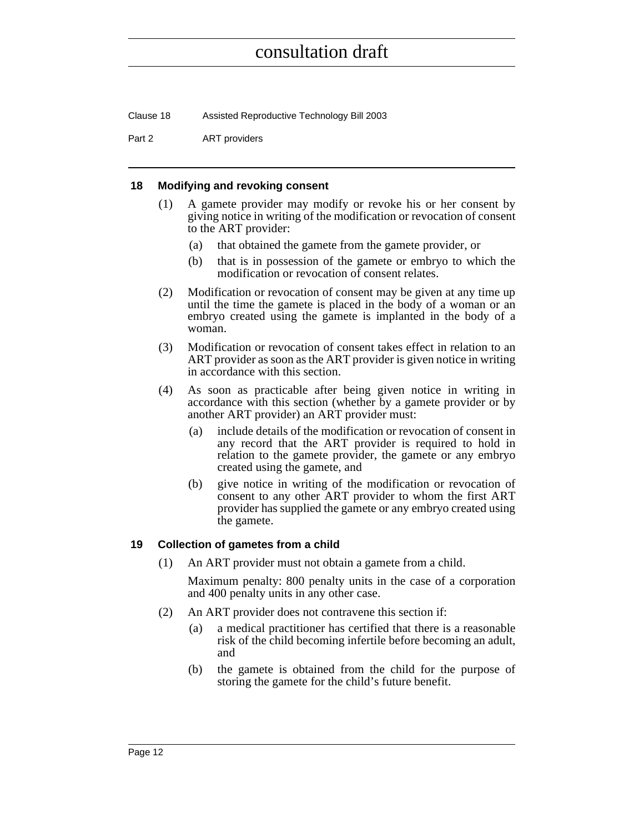Clause 18 Assisted Reproductive Technology Bill 2003

Part 2 **ART** providers

#### <span id="page-27-0"></span>**18 Modifying and revoking consent**

- (1) A gamete provider may modify or revoke his or her consent by giving notice in writing of the modification or revocation of consent to the ART provider:
	- (a) that obtained the gamete from the gamete provider, or
	- (b) that is in possession of the gamete or embryo to which the modification or revocation of consent relates.
- (2) Modification or revocation of consent may be given at any time up until the time the gamete is placed in the body of a woman or an embryo created using the gamete is implanted in the body of a woman.
- (3) Modification or revocation of consent takes effect in relation to an ART provider as soon as the ART provider is given notice in writing in accordance with this section.
- (4) As soon as practicable after being given notice in writing in accordance with this section (whether by a gamete provider or by another ART provider) an ART provider must:
	- (a) include details of the modification or revocation of consent in any record that the ART provider is required to hold in relation to the gamete provider, the gamete or any embryo created using the gamete, and
	- (b) give notice in writing of the modification or revocation of consent to any other ART provider to whom the first ART provider has supplied the gamete or any embryo created using the gamete.

#### <span id="page-27-1"></span>**19 Collection of gametes from a child**

(1) An ART provider must not obtain a gamete from a child.

Maximum penalty: 800 penalty units in the case of a corporation and 400 penalty units in any other case.

- (2) An ART provider does not contravene this section if:
	- (a) a medical practitioner has certified that there is a reasonable risk of the child becoming infertile before becoming an adult, and
	- (b) the gamete is obtained from the child for the purpose of storing the gamete for the child's future benefit.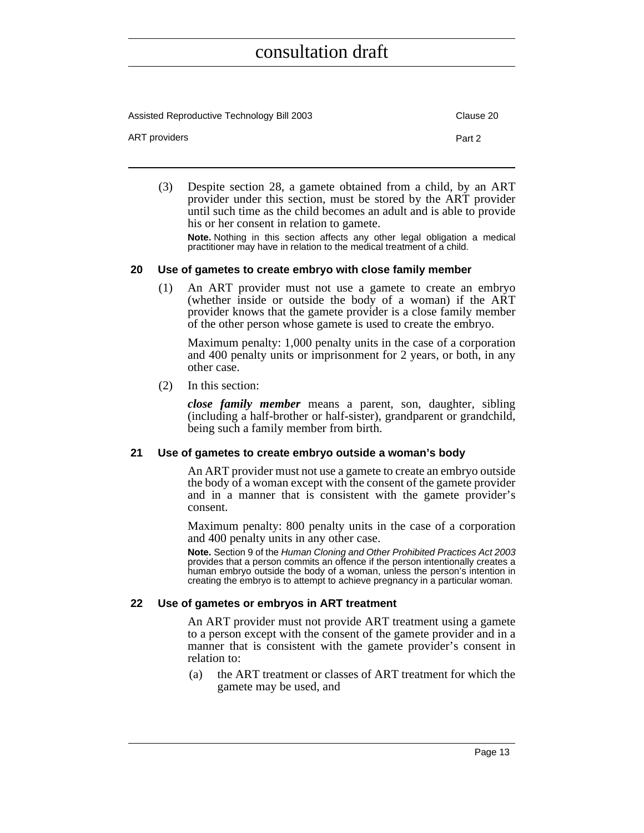Assisted Reproductive Technology Bill 2003 Clause 20 ART providers **Part 2** 

(3) Despite section 28, a gamete obtained from a child, by an ART provider under this section, must be stored by the ART provider until such time as the child becomes an adult and is able to provide his or her consent in relation to gamete.

**Note.** Nothing in this section affects any other legal obligation a medical practitioner may have in relation to the medical treatment of a child.

#### <span id="page-28-0"></span>**20 Use of gametes to create embryo with close family member**

(1) An ART provider must not use a gamete to create an embryo (whether inside or outside the body of a woman) if the ART provider knows that the gamete provider is a close family member of the other person whose gamete is used to create the embryo.

Maximum penalty: 1,000 penalty units in the case of a corporation and 400 penalty units or imprisonment for 2 years, or both, in any other case.

(2) In this section:

*close family member* means a parent, son, daughter, sibling (including a half-brother or half-sister), grandparent or grandchild, being such a family member from birth.

#### <span id="page-28-1"></span>**21 Use of gametes to create embryo outside a woman's body**

An ART provider must not use a gamete to create an embryo outside the body of a woman except with the consent of the gamete provider and in a manner that is consistent with the gamete provider's consent.

Maximum penalty: 800 penalty units in the case of a corporation and 400 penalty units in any other case.

**Note.** Section 9 of the Human Cloning and Other Prohibited Practices Act 2003 provides that a person commits an offence if the person intentionally creates a human embryo outside the body of a woman, unless the person's intention in creating the embryo is to attempt to achieve pregnancy in a particular woman.

#### <span id="page-28-2"></span>**22 Use of gametes or embryos in ART treatment**

An ART provider must not provide ART treatment using a gamete to a person except with the consent of the gamete provider and in a manner that is consistent with the gamete provider's consent in relation to:

(a) the ART treatment or classes of ART treatment for which the gamete may be used, and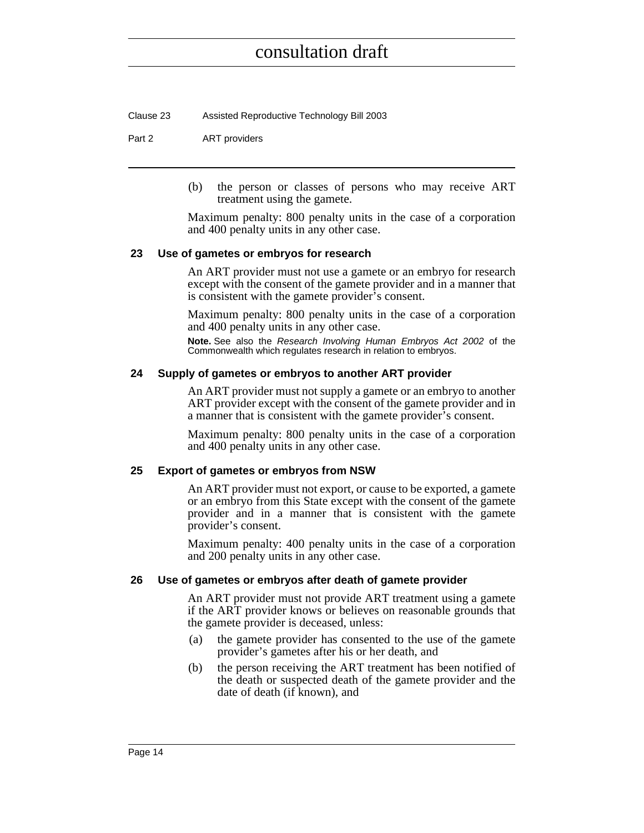Clause 23 Assisted Reproductive Technology Bill 2003

#### Part 2 ART providers

(b) the person or classes of persons who may receive ART treatment using the gamete.

Maximum penalty: 800 penalty units in the case of a corporation and 400 penalty units in any other case.

#### <span id="page-29-0"></span>**23 Use of gametes or embryos for research**

An ART provider must not use a gamete or an embryo for research except with the consent of the gamete provider and in a manner that is consistent with the gamete provider's consent.

Maximum penalty: 800 penalty units in the case of a corporation and 400 penalty units in any other case.

**Note.** See also the Research Involving Human Embryos Act 2002 of the Commonwealth which regulates research in relation to embryos.

#### <span id="page-29-1"></span>**24 Supply of gametes or embryos to another ART provider**

An ART provider must not supply a gamete or an embryo to another ART provider except with the consent of the gamete provider and in a manner that is consistent with the gamete provider's consent.

Maximum penalty: 800 penalty units in the case of a corporation and 400 penalty units in any other case.

#### <span id="page-29-2"></span>**25 Export of gametes or embryos from NSW**

An ART provider must not export, or cause to be exported, a gamete or an embryo from this State except with the consent of the gamete provider and in a manner that is consistent with the gamete provider's consent.

Maximum penalty: 400 penalty units in the case of a corporation and 200 penalty units in any other case.

#### <span id="page-29-3"></span>**26 Use of gametes or embryos after death of gamete provider**

An ART provider must not provide ART treatment using a gamete if the ART provider knows or believes on reasonable grounds that the gamete provider is deceased, unless:

- (a) the gamete provider has consented to the use of the gamete provider's gametes after his or her death, and
- (b) the person receiving the ART treatment has been notified of the death or suspected death of the gamete provider and the date of death (if known), and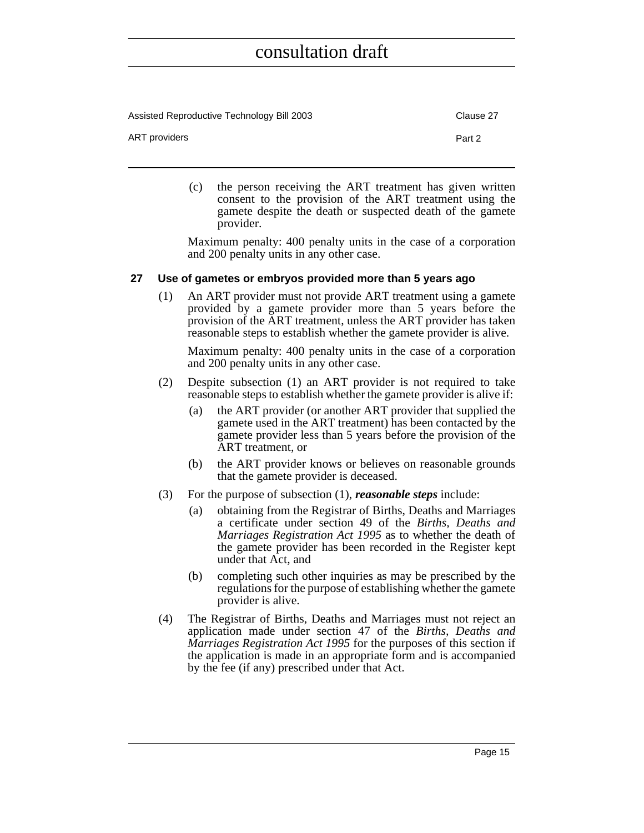Assisted Reproductive Technology Bill 2003 Clause 27

ART providers **Part 2** 

(c) the person receiving the ART treatment has given written consent to the provision of the ART treatment using the gamete despite the death or suspected death of the gamete provider.

Maximum penalty: 400 penalty units in the case of a corporation and 200 penalty units in any other case.

#### <span id="page-30-0"></span>**27 Use of gametes or embryos provided more than 5 years ago**

(1) An ART provider must not provide ART treatment using a gamete provided by a gamete provider more than 5 years before the provision of the ART treatment, unless the ART provider has taken reasonable steps to establish whether the gamete provider is alive.

Maximum penalty: 400 penalty units in the case of a corporation and 200 penalty units in any other case.

- (2) Despite subsection (1) an ART provider is not required to take reasonable steps to establish whether the gamete provider is alive if:
	- (a) the ART provider (or another ART provider that supplied the gamete used in the ART treatment) has been contacted by the gamete provider less than 5 years before the provision of the ART treatment, or
	- (b) the ART provider knows or believes on reasonable grounds that the gamete provider is deceased.
- (3) For the purpose of subsection (1), *reasonable steps* include:
	- (a) obtaining from the Registrar of Births, Deaths and Marriages a certificate under section 49 of the *Births, Deaths and Marriages Registration Act 1995* as to whether the death of the gamete provider has been recorded in the Register kept under that Act, and
	- (b) completing such other inquiries as may be prescribed by the regulations for the purpose of establishing whether the gamete provider is alive.
- (4) The Registrar of Births, Deaths and Marriages must not reject an application made under section 47 of the *Births, Deaths and Marriages Registration Act 1995* for the purposes of this section if the application is made in an appropriate form and is accompanied by the fee (if any) prescribed under that Act.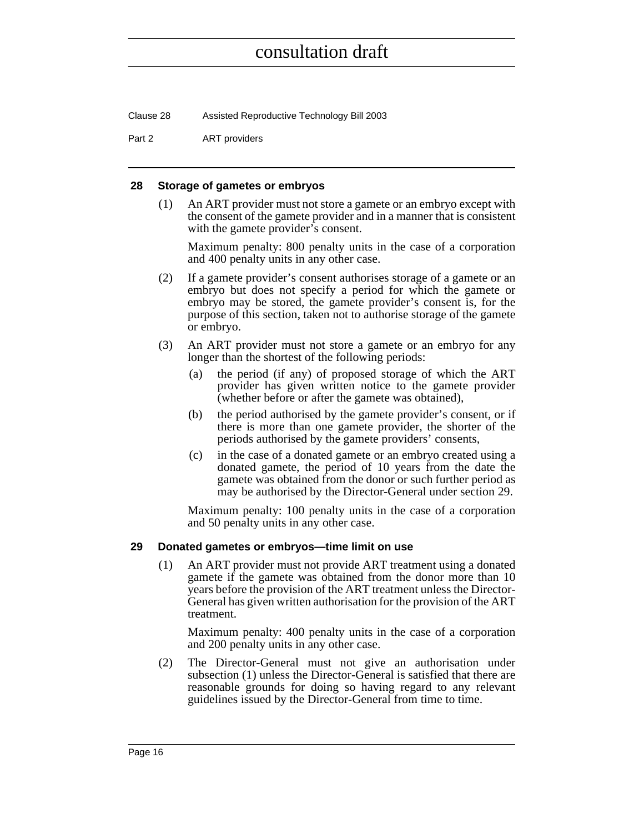Clause 28 Assisted Reproductive Technology Bill 2003

Part 2 **ART** providers

#### <span id="page-31-0"></span>**28 Storage of gametes or embryos**

(1) An ART provider must not store a gamete or an embryo except with the consent of the gamete provider and in a manner that is consistent with the gamete provider's consent.

Maximum penalty: 800 penalty units in the case of a corporation and 400 penalty units in any other case.

- (2) If a gamete provider's consent authorises storage of a gamete or an embryo but does not specify a period for which the gamete or embryo may be stored, the gamete provider's consent is, for the purpose of this section, taken not to authorise storage of the gamete or embryo.
- (3) An ART provider must not store a gamete or an embryo for any longer than the shortest of the following periods:
	- (a) the period (if any) of proposed storage of which the ART provider has given written notice to the gamete provider (whether before or after the gamete was obtained),
	- (b) the period authorised by the gamete provider's consent, or if there is more than one gamete provider, the shorter of the periods authorised by the gamete providers' consents,
	- (c) in the case of a donated gamete or an embryo created using a donated gamete, the period of 10 years from the date the gamete was obtained from the donor or such further period as may be authorised by the Director-General under section 29.

Maximum penalty: 100 penalty units in the case of a corporation and 50 penalty units in any other case.

#### <span id="page-31-1"></span>**29 Donated gametes or embryos—time limit on use**

(1) An ART provider must not provide ART treatment using a donated gamete if the gamete was obtained from the donor more than 10 years before the provision of the ART treatment unless the Director-General has given written authorisation for the provision of the ART treatment.

Maximum penalty: 400 penalty units in the case of a corporation and 200 penalty units in any other case.

(2) The Director-General must not give an authorisation under subsection (1) unless the Director-General is satisfied that there are reasonable grounds for doing so having regard to any relevant guidelines issued by the Director-General from time to time.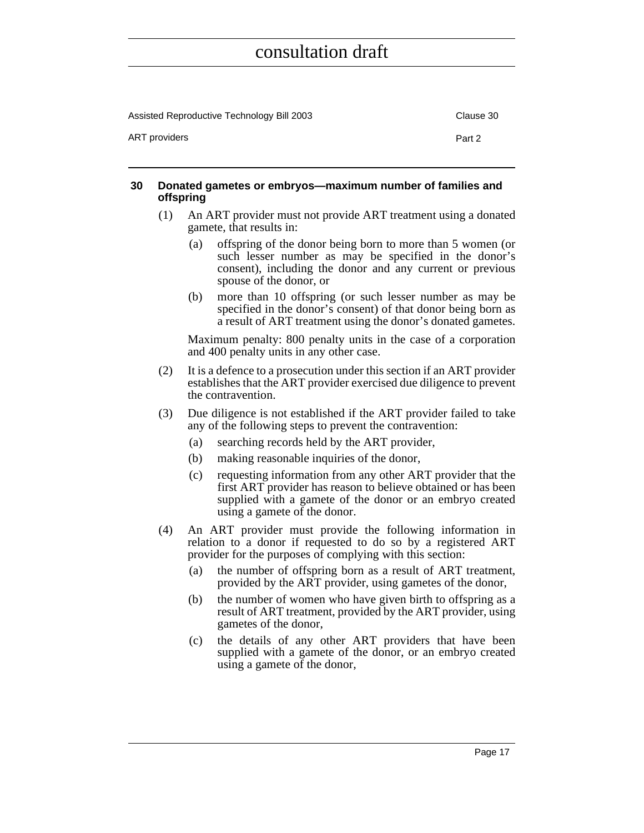| Assisted Reproductive Technology Bill 2003 | Clause 30 |
|--------------------------------------------|-----------|
| ART providers                              | Part 2    |

#### <span id="page-32-0"></span>**30 Donated gametes or embryos—maximum number of families and offspring**

- (1) An ART provider must not provide ART treatment using a donated gamete, that results in:
	- (a) offspring of the donor being born to more than 5 women (or such lesser number as may be specified in the donor's consent), including the donor and any current or previous spouse of the donor, or
	- (b) more than 10 offspring (or such lesser number as may be specified in the donor's consent) of that donor being born as a result of ART treatment using the donor's donated gametes.

Maximum penalty: 800 penalty units in the case of a corporation and 400 penalty units in any other case.

- (2) It is a defence to a prosecution under this section if an ART provider establishes that the ART provider exercised due diligence to prevent the contravention.
- (3) Due diligence is not established if the ART provider failed to take any of the following steps to prevent the contravention:
	- (a) searching records held by the ART provider,
	- (b) making reasonable inquiries of the donor,
	- (c) requesting information from any other ART provider that the first ART provider has reason to believe obtained or has been supplied with a gamete of the donor or an embryo created using a gamete of the donor.
- (4) An ART provider must provide the following information in relation to a donor if requested to do so by a registered ART provider for the purposes of complying with this section:
	- (a) the number of offspring born as a result of ART treatment, provided by the ART provider, using gametes of the donor,
	- (b) the number of women who have given birth to offspring as a result of ART treatment, provided by the ART provider, using gametes of the donor,
	- (c) the details of any other ART providers that have been supplied with a gamete of the donor, or an embryo created using a gamete of the donor,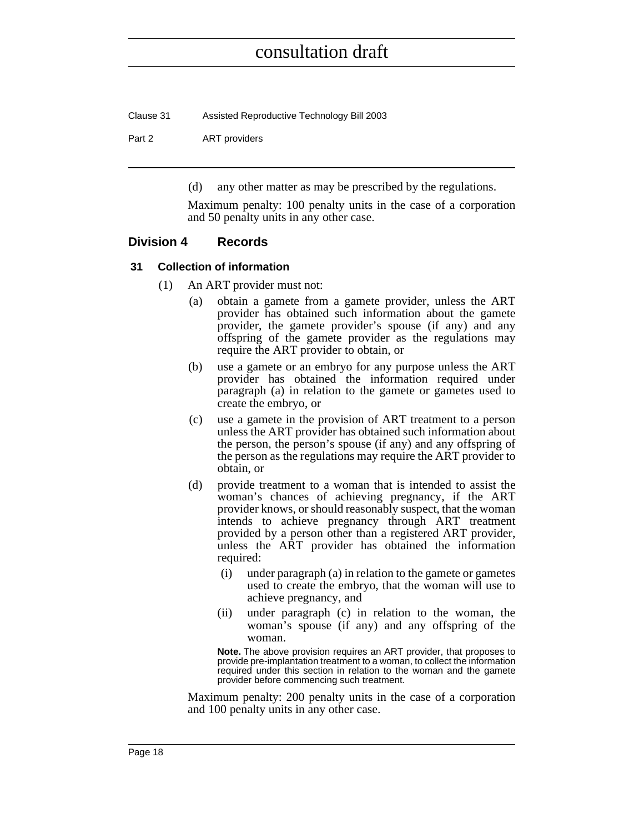| Clause 31 | Assisted Reproductive Technology Bill 2003 |
|-----------|--------------------------------------------|
| Part 2    | ART providers                              |

(d) any other matter as may be prescribed by the regulations.

Maximum penalty: 100 penalty units in the case of a corporation and 50 penalty units in any other case.

#### <span id="page-33-0"></span>**Division 4 Records**

#### <span id="page-33-1"></span>**31 Collection of information**

- (1) An ART provider must not:
	- (a) obtain a gamete from a gamete provider, unless the ART provider has obtained such information about the gamete provider, the gamete provider's spouse (if any) and any offspring of the gamete provider as the regulations may require the ART provider to obtain, or
	- (b) use a gamete or an embryo for any purpose unless the ART provider has obtained the information required under paragraph (a) in relation to the gamete or gametes used to create the embryo, or
	- (c) use a gamete in the provision of ART treatment to a person unless the ART provider has obtained such information about the person, the person's spouse (if any) and any offspring of the person as the regulations may require the ART provider to obtain, or
	- (d) provide treatment to a woman that is intended to assist the woman's chances of achieving pregnancy, if the ART provider knows, or should reasonably suspect, that the woman intends to achieve pregnancy through ART treatment provided by a person other than a registered ART provider, unless the ART provider has obtained the information required:
		- (i) under paragraph (a) in relation to the gamete or gametes used to create the embryo, that the woman will use to achieve pregnancy, and
		- (ii) under paragraph (c) in relation to the woman, the woman's spouse (if any) and any offspring of the woman.

**Note.** The above provision requires an ART provider, that proposes to provide pre-implantation treatment to a woman, to collect the information required under this section in relation to the woman and the gamete provider before commencing such treatment.

Maximum penalty: 200 penalty units in the case of a corporation and 100 penalty units in any other case.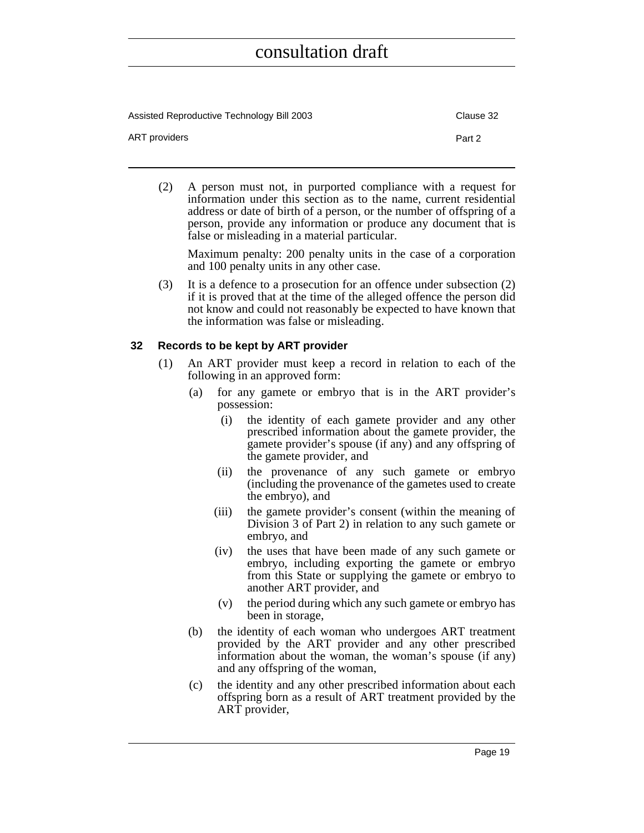| Assisted Reproductive Technology Bill 2003 | Clause 32 |
|--------------------------------------------|-----------|
| ART providers                              | Part 2    |

(2) A person must not, in purported compliance with a request for information under this section as to the name, current residential address or date of birth of a person, or the number of offspring of a person, provide any information or produce any document that is false or misleading in a material particular.

Maximum penalty: 200 penalty units in the case of a corporation and 100 penalty units in any other case.

(3) It is a defence to a prosecution for an offence under subsection (2) if it is proved that at the time of the alleged offence the person did not know and could not reasonably be expected to have known that the information was false or misleading.

#### <span id="page-34-0"></span>**32 Records to be kept by ART provider**

- (1) An ART provider must keep a record in relation to each of the following in an approved form:
	- (a) for any gamete or embryo that is in the ART provider's possession:
		- (i) the identity of each gamete provider and any other prescribed information about the gamete provider, the gamete provider's spouse (if any) and any offspring of the gamete provider, and
		- (ii) the provenance of any such gamete or embryo (including the provenance of the gametes used to create the embryo), and
		- (iii) the gamete provider's consent (within the meaning of Division 3 of Part 2) in relation to any such gamete or embryo, and
		- (iv) the uses that have been made of any such gamete or embryo, including exporting the gamete or embryo from this State or supplying the gamete or embryo to another ART provider, and
		- (v) the period during which any such gamete or embryo has been in storage,
	- (b) the identity of each woman who undergoes ART treatment provided by the ART provider and any other prescribed information about the woman, the woman's spouse (if any) and any offspring of the woman,
	- (c) the identity and any other prescribed information about each offspring born as a result of ART treatment provided by the ART provider,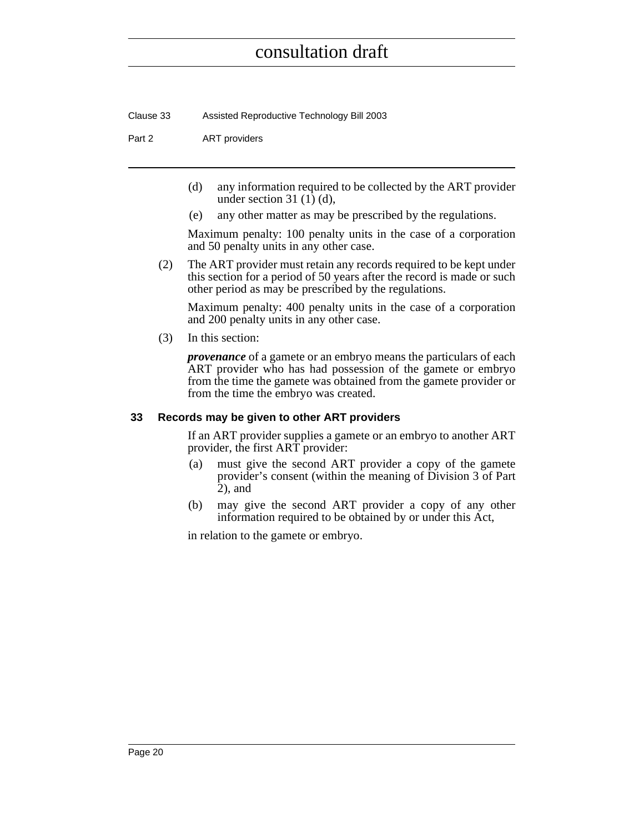Clause 33 Assisted Reproductive Technology Bill 2003

Part 2 **ART** providers

- (d) any information required to be collected by the ART provider under section  $31(1)(d)$ ,
- (e) any other matter as may be prescribed by the regulations.

Maximum penalty: 100 penalty units in the case of a corporation and 50 penalty units in any other case.

(2) The ART provider must retain any records required to be kept under this section for a period of 50 years after the record is made or such other period as may be prescribed by the regulations.

Maximum penalty: 400 penalty units in the case of a corporation and 200 penalty units in any other case.

(3) In this section:

*provenance* of a gamete or an embryo means the particulars of each ART provider who has had possession of the gamete or embryo from the time the gamete was obtained from the gamete provider or from the time the embryo was created.

#### <span id="page-35-0"></span>**33 Records may be given to other ART providers**

If an ART provider supplies a gamete or an embryo to another ART provider, the first ART provider:

- (a) must give the second ART provider a copy of the gamete provider's consent (within the meaning of Division 3 of Part 2), and
- (b) may give the second ART provider a copy of any other information required to be obtained by or under this Act,

in relation to the gamete or embryo.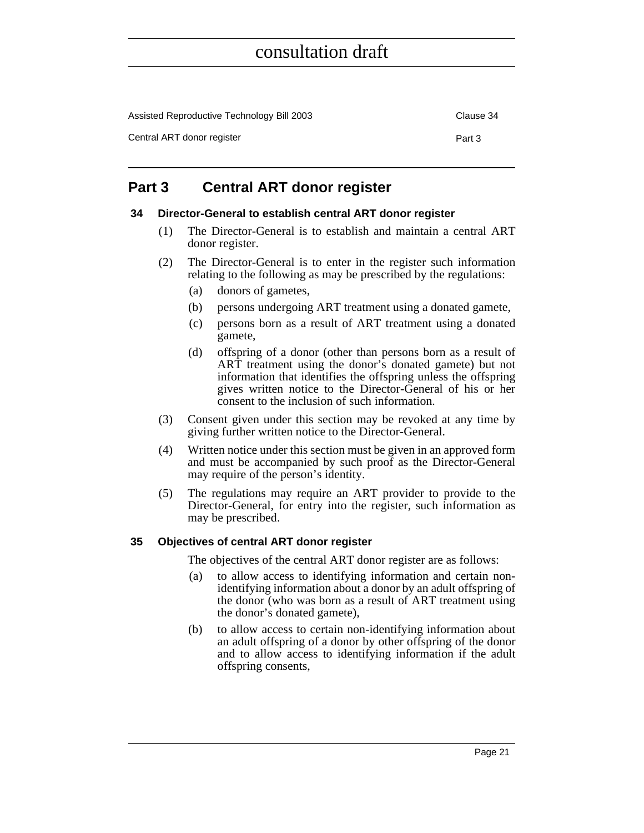| Assisted Reproductive Technology Bill 2003 | Clause 34 |
|--------------------------------------------|-----------|
| Central ART donor register                 | Part 3    |

### <span id="page-36-0"></span>**Part 3 Central ART donor register**

#### <span id="page-36-1"></span>**34 Director-General to establish central ART donor register**

- (1) The Director-General is to establish and maintain a central ART donor register.
- (2) The Director-General is to enter in the register such information relating to the following as may be prescribed by the regulations:
	- (a) donors of gametes,
	- (b) persons undergoing ART treatment using a donated gamete,
	- (c) persons born as a result of ART treatment using a donated gamete,
	- (d) offspring of a donor (other than persons born as a result of ART treatment using the donor's donated gamete) but not information that identifies the offspring unless the offspring gives written notice to the Director-General of his or her consent to the inclusion of such information.
- (3) Consent given under this section may be revoked at any time by giving further written notice to the Director-General.
- (4) Written notice under this section must be given in an approved form and must be accompanied by such proof as the Director-General may require of the person's identity.
- (5) The regulations may require an ART provider to provide to the Director-General, for entry into the register, such information as may be prescribed.

#### <span id="page-36-2"></span>**35 Objectives of central ART donor register**

The objectives of the central ART donor register are as follows:

- (a) to allow access to identifying information and certain nonidentifying information about a donor by an adult offspring of the donor (who was born as a result of ART treatment using the donor's donated gamete),
- (b) to allow access to certain non-identifying information about an adult offspring of a donor by other offspring of the donor and to allow access to identifying information if the adult offspring consents,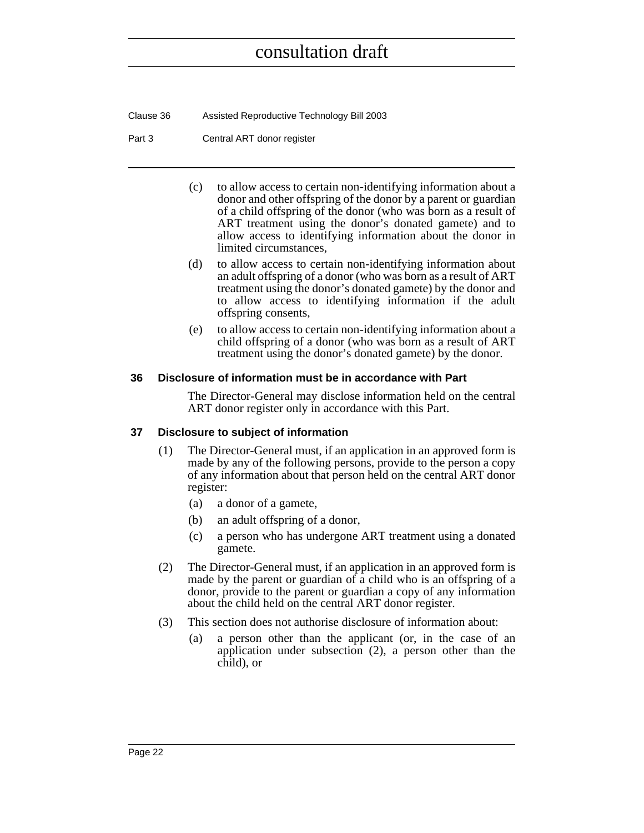Clause 36 Assisted Reproductive Technology Bill 2003

Part 3 Central ART donor register

- (c) to allow access to certain non-identifying information about a donor and other offspring of the donor by a parent or guardian of a child offspring of the donor (who was born as a result of ART treatment using the donor's donated gamete) and to allow access to identifying information about the donor in limited circumstances,
- (d) to allow access to certain non-identifying information about an adult offspring of a donor (who was born as a result of ART treatment using the donor's donated gamete) by the donor and to allow access to identifying information if the adult offspring consents,
- (e) to allow access to certain non-identifying information about a child offspring of a donor (who was born as a result of ART treatment using the donor's donated gamete) by the donor.

#### <span id="page-37-0"></span>**36 Disclosure of information must be in accordance with Part**

The Director-General may disclose information held on the central ART donor register only in accordance with this Part.

#### <span id="page-37-1"></span>**37 Disclosure to subject of information**

- (1) The Director-General must, if an application in an approved form is made by any of the following persons, provide to the person a copy of any information about that person held on the central ART donor register:
	- (a) a donor of a gamete,
	- (b) an adult offspring of a donor,
	- (c) a person who has undergone ART treatment using a donated gamete.
- (2) The Director-General must, if an application in an approved form is made by the parent or guardian of a child who is an offspring of a donor, provide to the parent or guardian a copy of any information about the child held on the central ART donor register.
- (3) This section does not authorise disclosure of information about:
	- (a) a person other than the applicant (or, in the case of an application under subsection (2), a person other than the child), or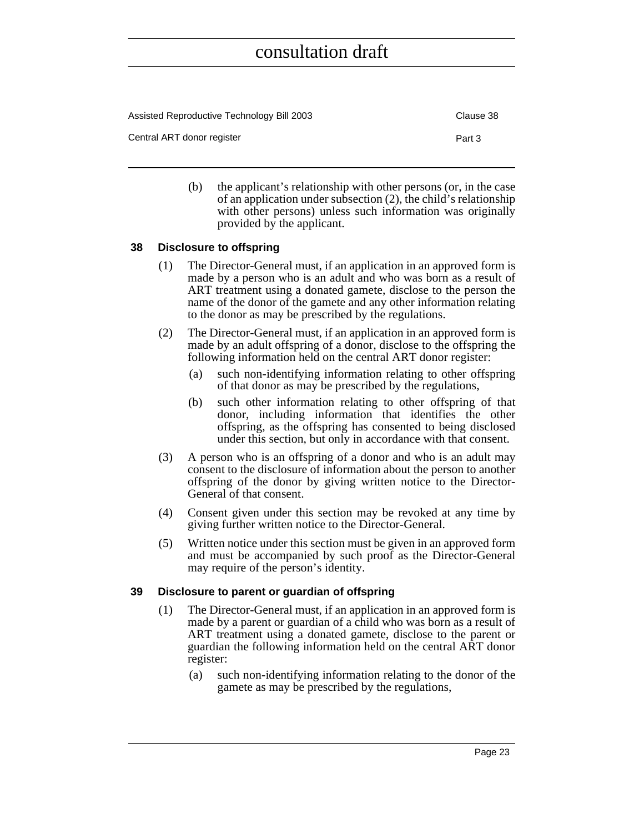| Assisted Reproductive Technology Bill 2003 | Clause 38 |
|--------------------------------------------|-----------|
| Central ART donor register                 | Part 3    |

(b) the applicant's relationship with other persons (or, in the case of an application under subsection (2), the child's relationship with other persons) unless such information was originally provided by the applicant.

#### <span id="page-38-0"></span>**38 Disclosure to offspring**

- (1) The Director-General must, if an application in an approved form is made by a person who is an adult and who was born as a result of ART treatment using a donated gamete, disclose to the person the name of the donor of the gamete and any other information relating to the donor as may be prescribed by the regulations.
- (2) The Director-General must, if an application in an approved form is made by an adult offspring of a donor, disclose to the offspring the following information held on the central ART donor register:
	- (a) such non-identifying information relating to other offspring of that donor as may be prescribed by the regulations,
	- (b) such other information relating to other offspring of that donor, including information that identifies the other offspring, as the offspring has consented to being disclosed under this section, but only in accordance with that consent.
- (3) A person who is an offspring of a donor and who is an adult may consent to the disclosure of information about the person to another offspring of the donor by giving written notice to the Director-General of that consent.
- (4) Consent given under this section may be revoked at any time by giving further written notice to the Director-General.
- (5) Written notice under this section must be given in an approved form and must be accompanied by such proof as the Director-General may require of the person's identity.

#### <span id="page-38-1"></span>**39 Disclosure to parent or guardian of offspring**

- (1) The Director-General must, if an application in an approved form is made by a parent or guardian of a child who was born as a result of ART treatment using a donated gamete, disclose to the parent or guardian the following information held on the central ART donor register:
	- (a) such non-identifying information relating to the donor of the gamete as may be prescribed by the regulations,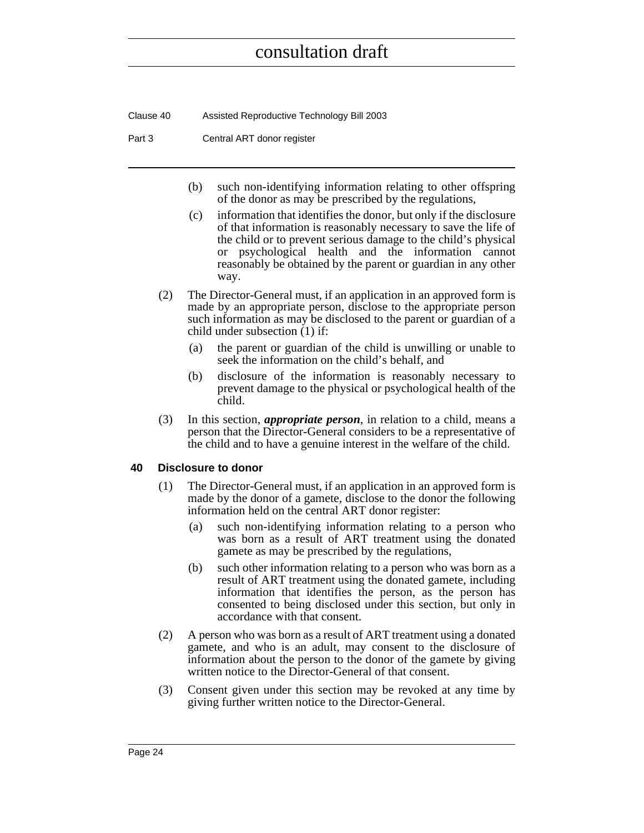Clause 40 Assisted Reproductive Technology Bill 2003

Part 3 Central ART donor register

- (b) such non-identifying information relating to other offspring of the donor as may be prescribed by the regulations,
- (c) information that identifies the donor, but only if the disclosure of that information is reasonably necessary to save the life of the child or to prevent serious damage to the child's physical or psychological health and the information cannot reasonably be obtained by the parent or guardian in any other way.
- (2) The Director-General must, if an application in an approved form is made by an appropriate person, disclose to the appropriate person such information as may be disclosed to the parent or guardian of a child under subsection (1) if:
	- (a) the parent or guardian of the child is unwilling or unable to seek the information on the child's behalf, and
	- (b) disclosure of the information is reasonably necessary to prevent damage to the physical or psychological health of the child.
- (3) In this section, *appropriate person*, in relation to a child, means a person that the Director-General considers to be a representative of the child and to have a genuine interest in the welfare of the child.

#### <span id="page-39-0"></span>**40 Disclosure to donor**

- (1) The Director-General must, if an application in an approved form is made by the donor of a gamete, disclose to the donor the following information held on the central ART donor register:
	- (a) such non-identifying information relating to a person who was born as a result of ART treatment using the donated gamete as may be prescribed by the regulations,
	- (b) such other information relating to a person who was born as a result of ART treatment using the donated gamete, including information that identifies the person, as the person has consented to being disclosed under this section, but only in accordance with that consent.
- (2) A person who was born as a result of ART treatment using a donated gamete, and who is an adult, may consent to the disclosure of information about the person to the donor of the gamete by giving written notice to the Director-General of that consent.
- (3) Consent given under this section may be revoked at any time by giving further written notice to the Director-General.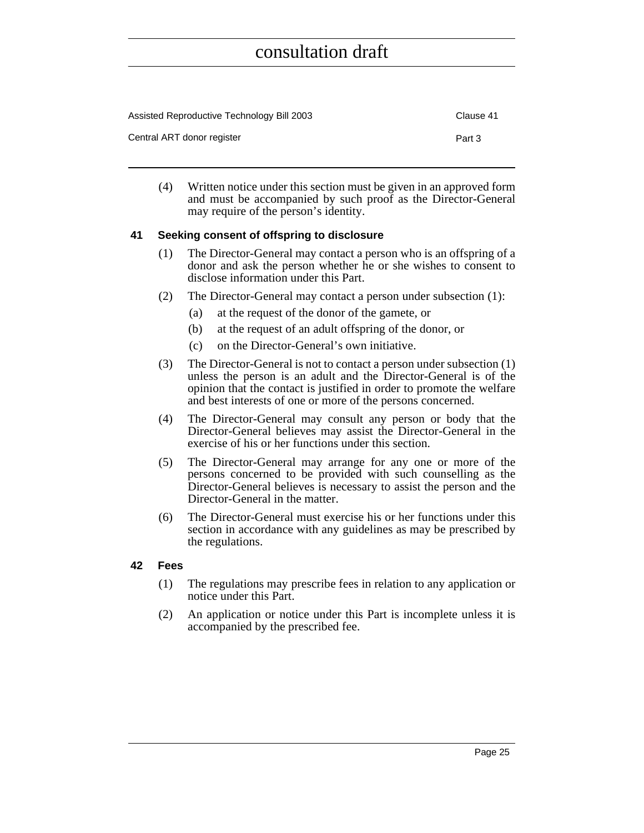| Assisted Reproductive Technology Bill 2003 | Clause 41 |
|--------------------------------------------|-----------|
| Central ART donor register                 | Part 3    |

(4) Written notice under this section must be given in an approved form and must be accompanied by such proof as the Director-General may require of the person's identity.

#### <span id="page-40-0"></span>**41 Seeking consent of offspring to disclosure**

- (1) The Director-General may contact a person who is an offspring of a donor and ask the person whether he or she wishes to consent to disclose information under this Part.
- (2) The Director-General may contact a person under subsection (1):
	- (a) at the request of the donor of the gamete, or
	- (b) at the request of an adult offspring of the donor, or
	- (c) on the Director-General's own initiative.
- (3) The Director-General is not to contact a person under subsection (1) unless the person is an adult and the Director-General is of the opinion that the contact is justified in order to promote the welfare and best interests of one or more of the persons concerned.
- (4) The Director-General may consult any person or body that the Director-General believes may assist the Director-General in the exercise of his or her functions under this section.
- (5) The Director-General may arrange for any one or more of the persons concerned to be provided with such counselling as the Director-General believes is necessary to assist the person and the Director-General in the matter.
- (6) The Director-General must exercise his or her functions under this section in accordance with any guidelines as may be prescribed by the regulations.

#### <span id="page-40-1"></span>**42 Fees**

- (1) The regulations may prescribe fees in relation to any application or notice under this Part.
- (2) An application or notice under this Part is incomplete unless it is accompanied by the prescribed fee.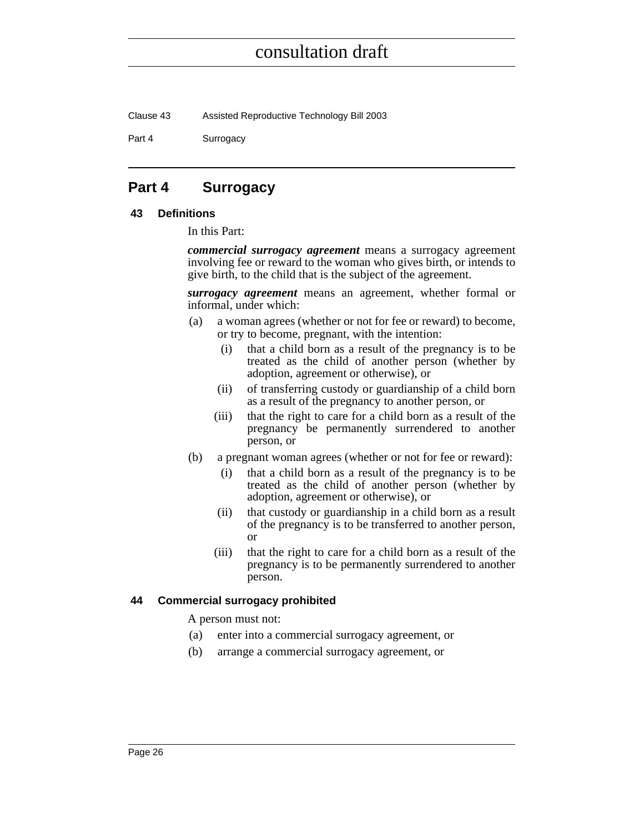Clause 43 Assisted Reproductive Technology Bill 2003

Part 4 **Surrogacy** 

### <span id="page-41-0"></span>**Part 4 Surrogacy**

#### <span id="page-41-1"></span>**43 Definitions**

In this Part:

*commercial surrogacy agreement* means a surrogacy agreement involving fee or reward to the woman who gives birth, or intends to give birth, to the child that is the subject of the agreement.

*surrogacy agreement* means an agreement, whether formal or informal, under which:

- (a) a woman agrees (whether or not for fee or reward) to become, or try to become, pregnant, with the intention:
	- (i) that a child born as a result of the pregnancy is to be treated as the child of another person (whether by adoption, agreement or otherwise), or
	- (ii) of transferring custody or guardianship of a child born as a result of the pregnancy to another person, or
	- (iii) that the right to care for a child born as a result of the pregnancy be permanently surrendered to another person, or
- (b) a pregnant woman agrees (whether or not for fee or reward):
	- (i) that a child born as a result of the pregnancy is to be treated as the child of another person (whether by adoption, agreement or otherwise), or
	- (ii) that custody or guardianship in a child born as a result of the pregnancy is to be transferred to another person, or
	- (iii) that the right to care for a child born as a result of the pregnancy is to be permanently surrendered to another person.

#### <span id="page-41-2"></span>**44 Commercial surrogacy prohibited**

A person must not:

- (a) enter into a commercial surrogacy agreement, or
- (b) arrange a commercial surrogacy agreement, or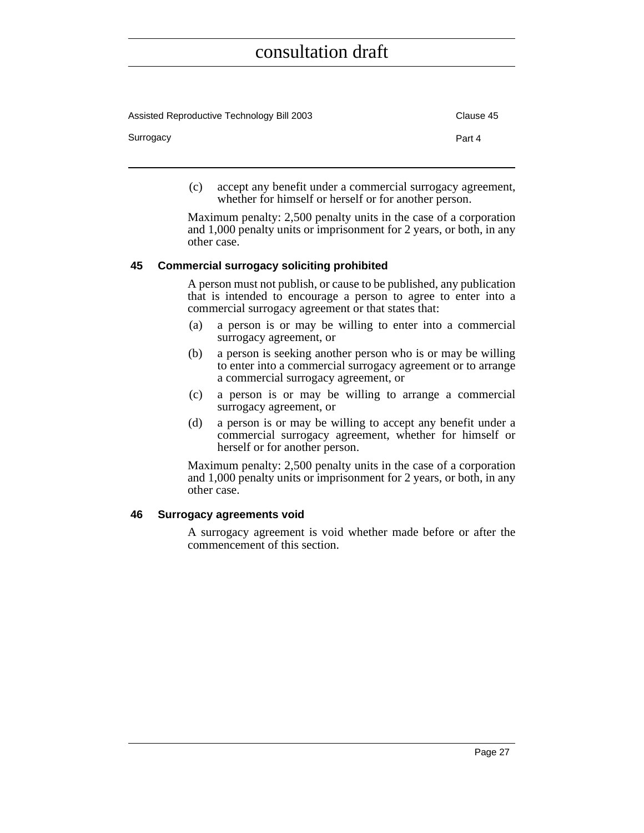| Assisted Reproductive Technology Bill 2003 | Clause 45 |
|--------------------------------------------|-----------|
| Surrogacy                                  | Part 4    |

(c) accept any benefit under a commercial surrogacy agreement, whether for himself or herself or for another person.

Maximum penalty: 2,500 penalty units in the case of a corporation and 1,000 penalty units or imprisonment for 2 years, or both, in any other case.

#### <span id="page-42-0"></span>**45 Commercial surrogacy soliciting prohibited**

A person must not publish, or cause to be published, any publication that is intended to encourage a person to agree to enter into a commercial surrogacy agreement or that states that:

- (a) a person is or may be willing to enter into a commercial surrogacy agreement, or
- (b) a person is seeking another person who is or may be willing to enter into a commercial surrogacy agreement or to arrange a commercial surrogacy agreement, or
- (c) a person is or may be willing to arrange a commercial surrogacy agreement, or
- (d) a person is or may be willing to accept any benefit under a commercial surrogacy agreement, whether for himself or herself or for another person.

Maximum penalty: 2,500 penalty units in the case of a corporation and 1,000 penalty units or imprisonment for 2 years, or both, in any other case.

#### <span id="page-42-1"></span>**46 Surrogacy agreements void**

A surrogacy agreement is void whether made before or after the commencement of this section.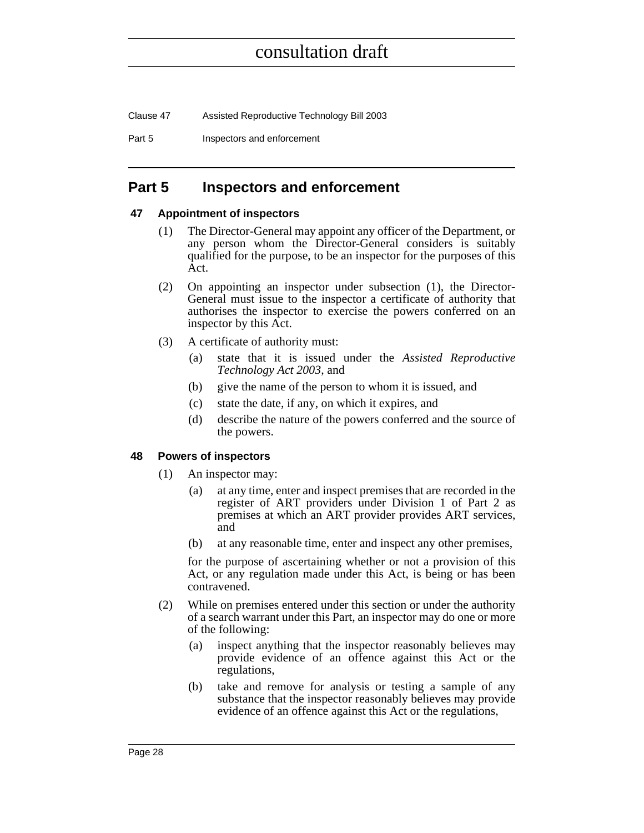Clause 47 Assisted Reproductive Technology Bill 2003

Part 5 **Inspectors and enforcement** 

### <span id="page-43-0"></span>**Part 5 Inspectors and enforcement**

#### <span id="page-43-1"></span>**47 Appointment of inspectors**

- (1) The Director-General may appoint any officer of the Department, or any person whom the Director-General considers is suitably qualified for the purpose, to be an inspector for the purposes of this Act.
- (2) On appointing an inspector under subsection (1), the Director-General must issue to the inspector a certificate of authority that authorises the inspector to exercise the powers conferred on an inspector by this Act.
- (3) A certificate of authority must:
	- (a) state that it is issued under the *Assisted Reproductive Technology Act 2003*, and
	- (b) give the name of the person to whom it is issued, and
	- (c) state the date, if any, on which it expires, and
	- (d) describe the nature of the powers conferred and the source of the powers.

#### <span id="page-43-2"></span>**48 Powers of inspectors**

- (1) An inspector may:
	- (a) at any time, enter and inspect premises that are recorded in the register of ART providers under Division 1 of Part 2 as premises at which an ART provider provides ART services, and
	- (b) at any reasonable time, enter and inspect any other premises,

for the purpose of ascertaining whether or not a provision of this Act, or any regulation made under this Act, is being or has been contravened.

- (2) While on premises entered under this section or under the authority of a search warrant under this Part, an inspector may do one or more of the following:
	- (a) inspect anything that the inspector reasonably believes may provide evidence of an offence against this Act or the regulations,
	- (b) take and remove for analysis or testing a sample of any substance that the inspector reasonably believes may provide evidence of an offence against this Act or the regulations,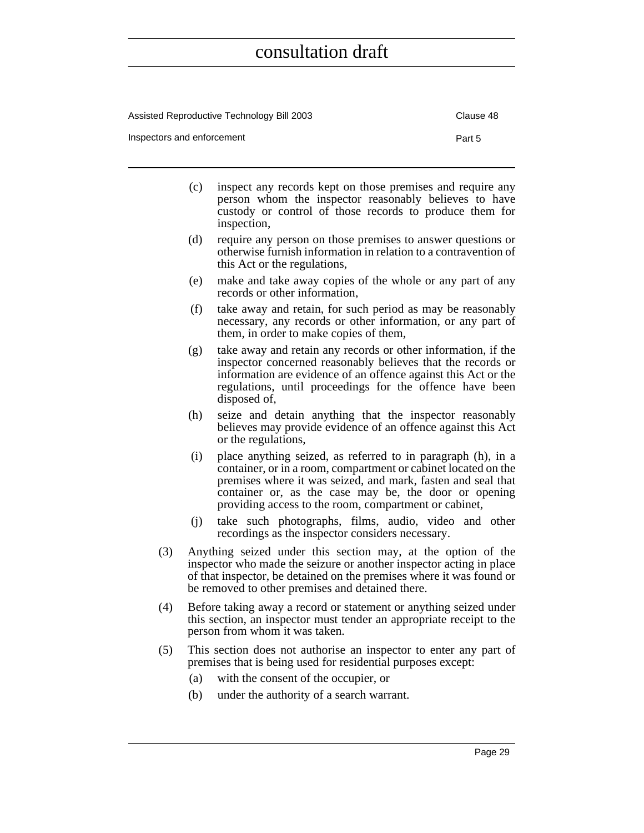| Assisted Reproductive Technology Bill 2003 | Clause 48 |
|--------------------------------------------|-----------|
| Inspectors and enforcement                 | Part 5    |

- (c) inspect any records kept on those premises and require any person whom the inspector reasonably believes to have custody or control of those records to produce them for inspection,
- (d) require any person on those premises to answer questions or otherwise furnish information in relation to a contravention of this Act or the regulations,
- (e) make and take away copies of the whole or any part of any records or other information,
- (f) take away and retain, for such period as may be reasonably necessary, any records or other information, or any part of them, in order to make copies of them,
- (g) take away and retain any records or other information, if the inspector concerned reasonably believes that the records or information are evidence of an offence against this Act or the regulations, until proceedings for the offence have been disposed of,
- (h) seize and detain anything that the inspector reasonably believes may provide evidence of an offence against this Act or the regulations,
- (i) place anything seized, as referred to in paragraph (h), in a container, or in a room, compartment or cabinet located on the premises where it was seized, and mark, fasten and seal that container or, as the case may be, the door or opening providing access to the room, compartment or cabinet,
- (j) take such photographs, films, audio, video and other recordings as the inspector considers necessary.
- (3) Anything seized under this section may, at the option of the inspector who made the seizure or another inspector acting in place of that inspector, be detained on the premises where it was found or be removed to other premises and detained there.
- (4) Before taking away a record or statement or anything seized under this section, an inspector must tender an appropriate receipt to the person from whom it was taken.
- (5) This section does not authorise an inspector to enter any part of premises that is being used for residential purposes except:
	- (a) with the consent of the occupier, or
	- (b) under the authority of a search warrant.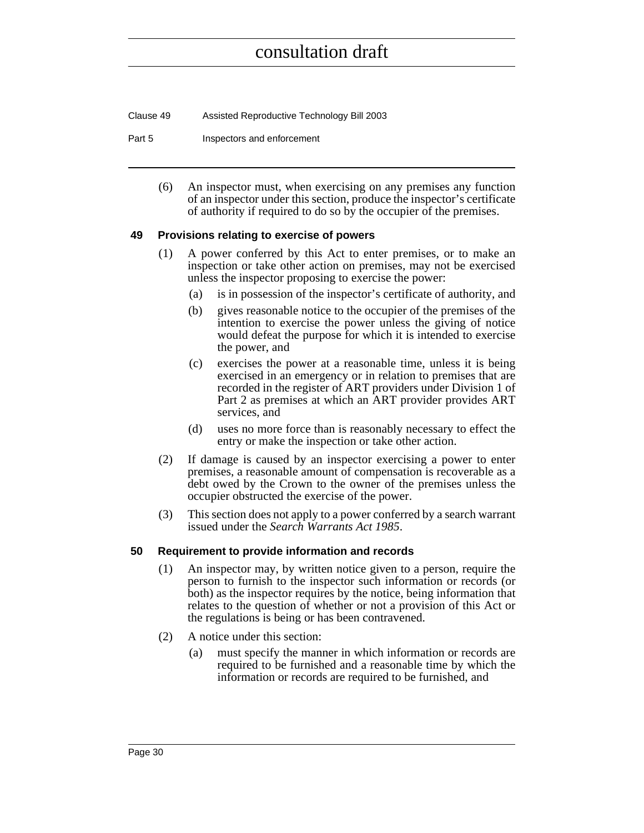| Clause 49 | Assisted Reproductive Technology Bill 2003 |
|-----------|--------------------------------------------|
|-----------|--------------------------------------------|

Part 5 **Inspectors** and enforcement

(6) An inspector must, when exercising on any premises any function of an inspector under this section, produce the inspector's certificate of authority if required to do so by the occupier of the premises.

#### <span id="page-45-0"></span>**49 Provisions relating to exercise of powers**

- (1) A power conferred by this Act to enter premises, or to make an inspection or take other action on premises, may not be exercised unless the inspector proposing to exercise the power:
	- (a) is in possession of the inspector's certificate of authority, and
	- (b) gives reasonable notice to the occupier of the premises of the intention to exercise the power unless the giving of notice would defeat the purpose for which it is intended to exercise the power, and
	- (c) exercises the power at a reasonable time, unless it is being exercised in an emergency or in relation to premises that are recorded in the register of ART providers under Division 1 of Part 2 as premises at which an ART provider provides ART services, and
	- (d) uses no more force than is reasonably necessary to effect the entry or make the inspection or take other action.
- (2) If damage is caused by an inspector exercising a power to enter premises, a reasonable amount of compensation is recoverable as a debt owed by the Crown to the owner of the premises unless the occupier obstructed the exercise of the power.
- (3) This section does not apply to a power conferred by a search warrant issued under the *Search Warrants Act 1985*.

#### <span id="page-45-1"></span>**50 Requirement to provide information and records**

- (1) An inspector may, by written notice given to a person, require the person to furnish to the inspector such information or records (or both) as the inspector requires by the notice, being information that relates to the question of whether or not a provision of this Act or the regulations is being or has been contravened.
- (2) A notice under this section:
	- (a) must specify the manner in which information or records are required to be furnished and a reasonable time by which the information or records are required to be furnished, and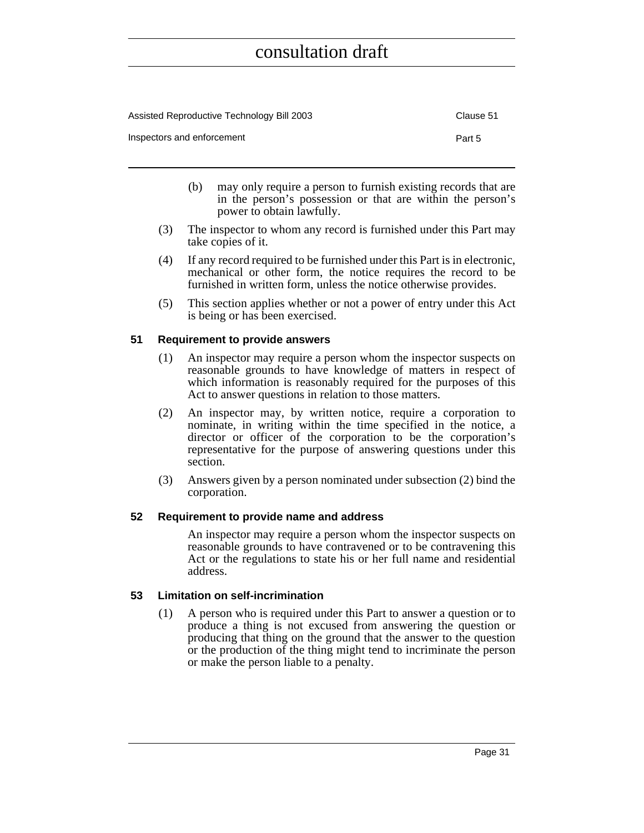| Assisted Reproductive Technology Bill 2003 | Clause 51 |
|--------------------------------------------|-----------|
| Inspectors and enforcement                 | Part 5    |

- (b) may only require a person to furnish existing records that are in the person's possession or that are within the person's power to obtain lawfully.
- (3) The inspector to whom any record is furnished under this Part may take copies of it.
- (4) If any record required to be furnished under this Part is in electronic, mechanical or other form, the notice requires the record to be furnished in written form, unless the notice otherwise provides.
- (5) This section applies whether or not a power of entry under this Act is being or has been exercised.

#### <span id="page-46-0"></span>**51 Requirement to provide answers**

- (1) An inspector may require a person whom the inspector suspects on reasonable grounds to have knowledge of matters in respect of which information is reasonably required for the purposes of this Act to answer questions in relation to those matters.
- (2) An inspector may, by written notice, require a corporation to nominate, in writing within the time specified in the notice, a director or officer of the corporation to be the corporation's representative for the purpose of answering questions under this section.
- (3) Answers given by a person nominated under subsection (2) bind the corporation.

#### <span id="page-46-1"></span>**52 Requirement to provide name and address**

An inspector may require a person whom the inspector suspects on reasonable grounds to have contravened or to be contravening this Act or the regulations to state his or her full name and residential address.

#### <span id="page-46-2"></span>**53 Limitation on self-incrimination**

(1) A person who is required under this Part to answer a question or to produce a thing is not excused from answering the question or producing that thing on the ground that the answer to the question or the production of the thing might tend to incriminate the person or make the person liable to a penalty.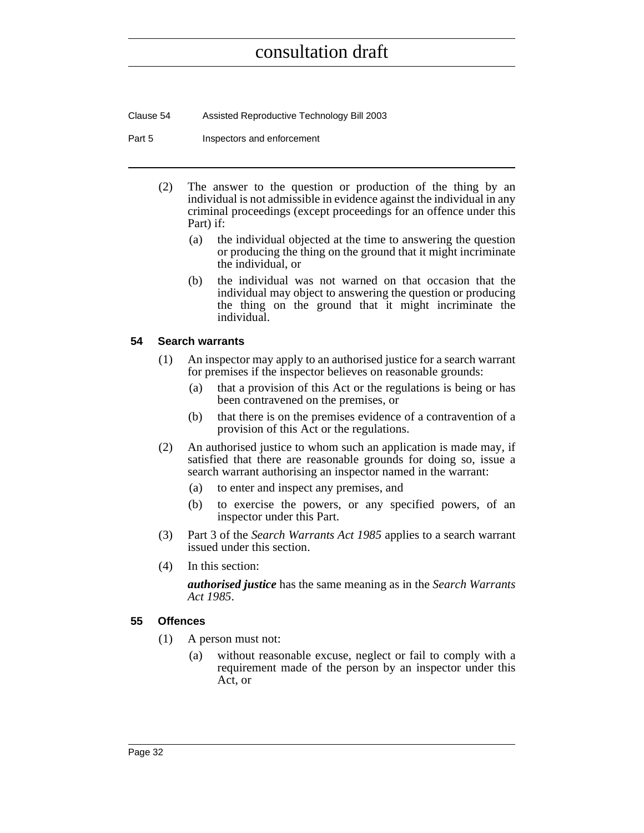Clause 54 Assisted Reproductive Technology Bill 2003

Part 5 **Inspectors** and enforcement

- (2) The answer to the question or production of the thing by an individual is not admissible in evidence against the individual in any criminal proceedings (except proceedings for an offence under this Part) if:
	- (a) the individual objected at the time to answering the question or producing the thing on the ground that it might incriminate the individual, or
	- (b) the individual was not warned on that occasion that the individual may object to answering the question or producing the thing on the ground that it might incriminate the individual.

#### <span id="page-47-0"></span>**54 Search warrants**

- (1) An inspector may apply to an authorised justice for a search warrant for premises if the inspector believes on reasonable grounds:
	- (a) that a provision of this Act or the regulations is being or has been contravened on the premises, or
	- (b) that there is on the premises evidence of a contravention of a provision of this Act or the regulations.
- (2) An authorised justice to whom such an application is made may, if satisfied that there are reasonable grounds for doing so, issue a search warrant authorising an inspector named in the warrant:
	- (a) to enter and inspect any premises, and
	- (b) to exercise the powers, or any specified powers, of an inspector under this Part.
- (3) Part 3 of the *Search Warrants Act 1985* applies to a search warrant issued under this section.
- (4) In this section:

*authorised justice* has the same meaning as in the *Search Warrants Act 1985*.

#### <span id="page-47-1"></span>**55 Offences**

- (1) A person must not:
	- (a) without reasonable excuse, neglect or fail to comply with a requirement made of the person by an inspector under this Act, or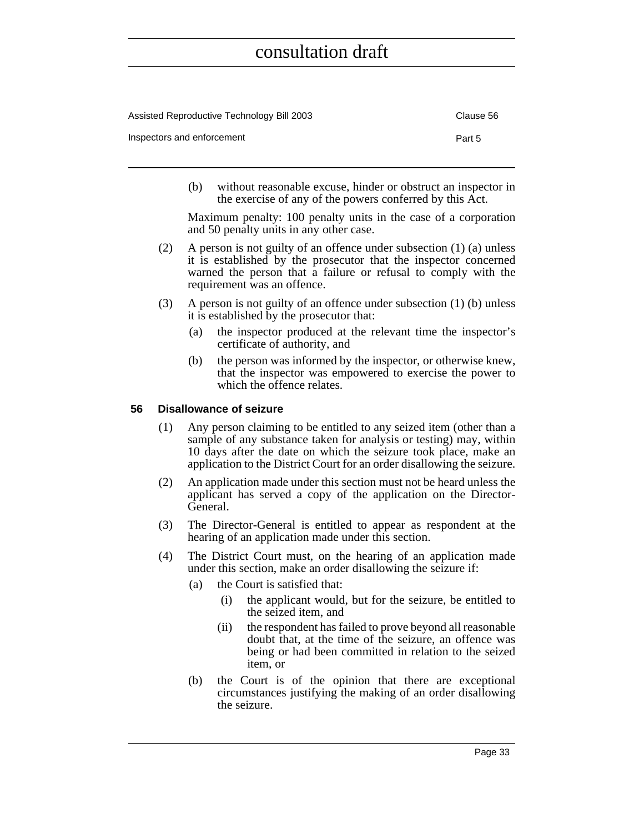| Assisted Reproductive Technology Bill 2003 | Clause 56 |
|--------------------------------------------|-----------|
| Inspectors and enforcement                 | Part 5    |

(b) without reasonable excuse, hinder or obstruct an inspector in the exercise of any of the powers conferred by this Act.

Maximum penalty: 100 penalty units in the case of a corporation and 50 penalty units in any other case.

- (2) A person is not guilty of an offence under subsection (1) (a) unless it is established by the prosecutor that the inspector concerned warned the person that a failure or refusal to comply with the requirement was an offence.
- (3) A person is not guilty of an offence under subsection (1) (b) unless it is established by the prosecutor that:
	- (a) the inspector produced at the relevant time the inspector's certificate of authority, and
	- (b) the person was informed by the inspector, or otherwise knew, that the inspector was empowered to exercise the power to which the offence relates.

#### <span id="page-48-0"></span>**56 Disallowance of seizure**

- (1) Any person claiming to be entitled to any seized item (other than a sample of any substance taken for analysis or testing) may, within 10 days after the date on which the seizure took place, make an application to the District Court for an order disallowing the seizure.
- (2) An application made under this section must not be heard unless the applicant has served a copy of the application on the Director-General.
- (3) The Director-General is entitled to appear as respondent at the hearing of an application made under this section.
- (4) The District Court must, on the hearing of an application made under this section, make an order disallowing the seizure if:
	- (a) the Court is satisfied that:
		- (i) the applicant would, but for the seizure, be entitled to the seized item, and
		- (ii) the respondent has failed to prove beyond all reasonable doubt that, at the time of the seizure, an offence was being or had been committed in relation to the seized item, or
	- (b) the Court is of the opinion that there are exceptional circumstances justifying the making of an order disallowing the seizure.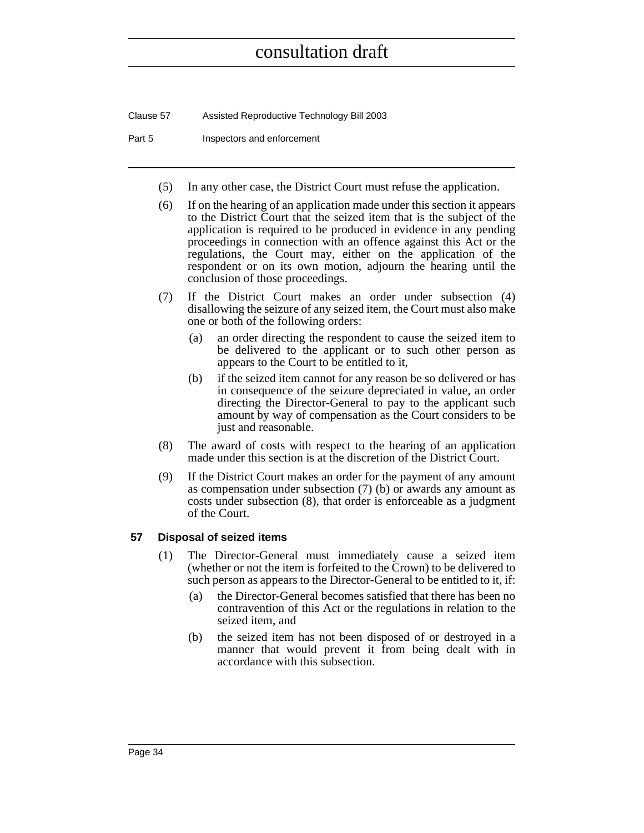Clause 57 Assisted Reproductive Technology Bill 2003

Part 5 **Inspectors and enforcement** 

- (5) In any other case, the District Court must refuse the application.
- (6) If on the hearing of an application made under this section it appears to the District Court that the seized item that is the subject of the application is required to be produced in evidence in any pending proceedings in connection with an offence against this Act or the regulations, the Court may, either on the application of the respondent or on its own motion, adjourn the hearing until the conclusion of those proceedings.
- (7) If the District Court makes an order under subsection (4) disallowing the seizure of any seized item, the Court must also make one or both of the following orders:
	- (a) an order directing the respondent to cause the seized item to be delivered to the applicant or to such other person as appears to the Court to be entitled to it,
	- (b) if the seized item cannot for any reason be so delivered or has in consequence of the seizure depreciated in value, an order directing the Director-General to pay to the applicant such amount by way of compensation as the Court considers to be just and reasonable.
- (8) The award of costs with respect to the hearing of an application made under this section is at the discretion of the District Court.
- (9) If the District Court makes an order for the payment of any amount as compensation under subsection (7) (b) or awards any amount as costs under subsection (8), that order is enforceable as a judgment of the Court.

#### <span id="page-49-0"></span>**57 Disposal of seized items**

- (1) The Director-General must immediately cause a seized item (whether or not the item is forfeited to the Crown) to be delivered to such person as appears to the Director-General to be entitled to it, if:
	- (a) the Director-General becomes satisfied that there has been no contravention of this Act or the regulations in relation to the seized item, and
	- (b) the seized item has not been disposed of or destroyed in a manner that would prevent it from being dealt with in accordance with this subsection.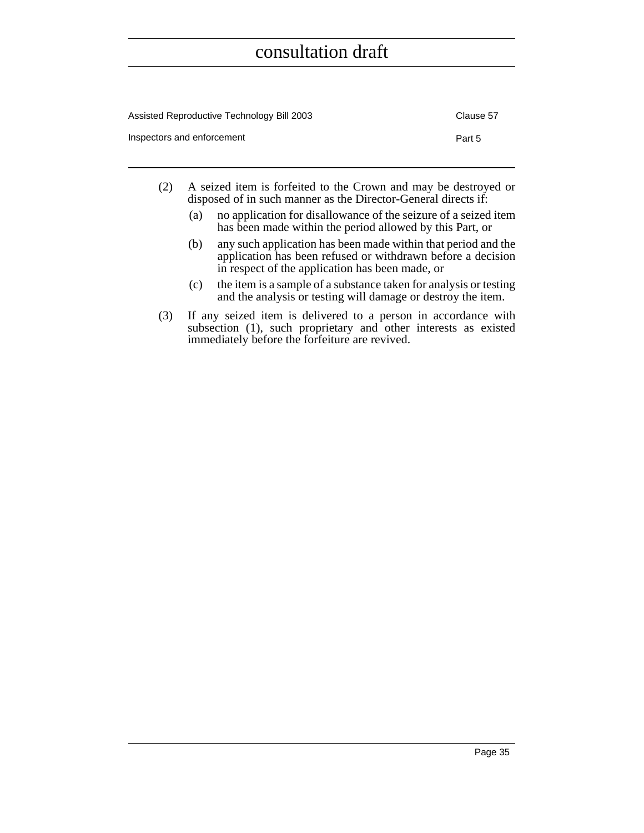| Assisted Reproductive Technology Bill 2003 | Clause 57 |
|--------------------------------------------|-----------|
| Inspectors and enforcement                 | Part 5    |

- (2) A seized item is forfeited to the Crown and may be destroyed or disposed of in such manner as the Director-General directs if:
	- (a) no application for disallowance of the seizure of a seized item has been made within the period allowed by this Part, or
	- (b) any such application has been made within that period and the application has been refused or withdrawn before a decision in respect of the application has been made, or
	- (c) the item is a sample of a substance taken for analysis or testing and the analysis or testing will damage or destroy the item.
- (3) If any seized item is delivered to a person in accordance with subsection (1), such proprietary and other interests as existed immediately before the forfeiture are revived.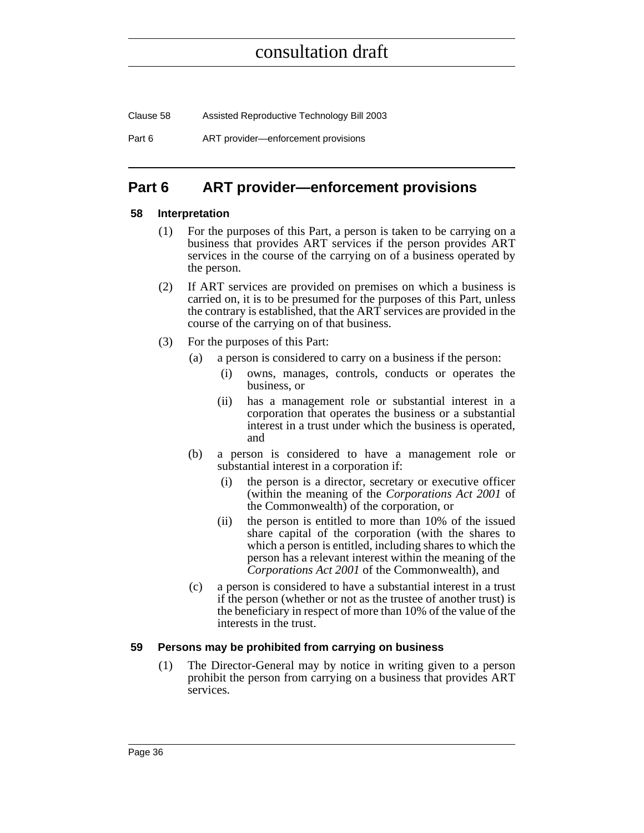Clause 58 Assisted Reproductive Technology Bill 2003 Part 6 **ART** provider—enforcement provisions

### <span id="page-51-0"></span>**Part 6 ART provider—enforcement provisions**

#### <span id="page-51-1"></span>**58 Interpretation**

- (1) For the purposes of this Part, a person is taken to be carrying on a business that provides ART services if the person provides ART services in the course of the carrying on of a business operated by the person.
- (2) If ART services are provided on premises on which a business is carried on, it is to be presumed for the purposes of this Part, unless the contrary is established, that the ART services are provided in the course of the carrying on of that business.
- (3) For the purposes of this Part:
	- (a) a person is considered to carry on a business if the person:
		- (i) owns, manages, controls, conducts or operates the business, or
		- (ii) has a management role or substantial interest in a corporation that operates the business or a substantial interest in a trust under which the business is operated, and
	- (b) a person is considered to have a management role or substantial interest in a corporation if:
		- (i) the person is a director, secretary or executive officer (within the meaning of the *Corporations Act 2001* of the Commonwealth) of the corporation, or
		- (ii) the person is entitled to more than 10% of the issued share capital of the corporation (with the shares to which a person is entitled, including shares to which the person has a relevant interest within the meaning of the *Corporations Act 2001* of the Commonwealth), and
	- (c) a person is considered to have a substantial interest in a trust if the person (whether or not as the trustee of another trust) is the beneficiary in respect of more than 10% of the value of the interests in the trust.

#### <span id="page-51-2"></span>**59 Persons may be prohibited from carrying on business**

(1) The Director-General may by notice in writing given to a person prohibit the person from carrying on a business that provides ART services.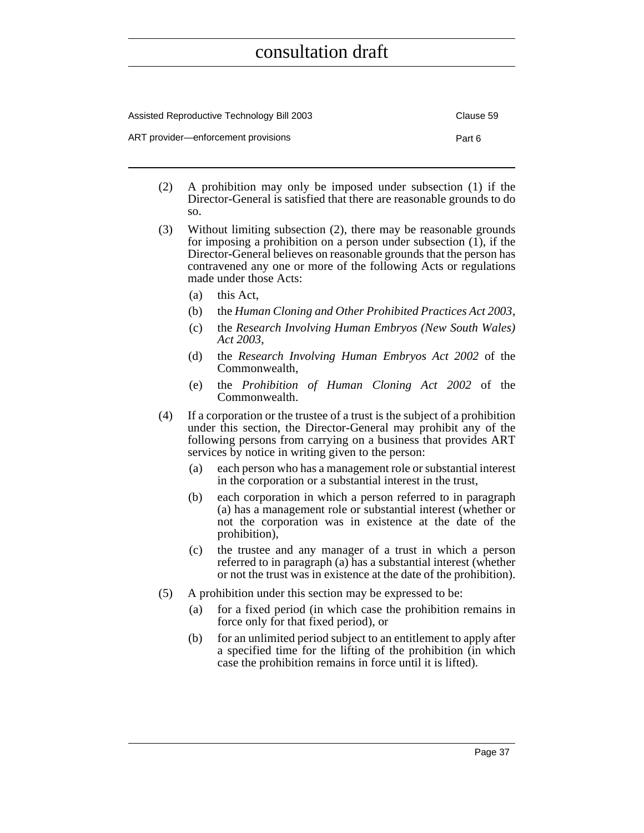| Assisted Reproductive Technology Bill 2003 | Clause 59 |
|--------------------------------------------|-----------|
| ART provider—enforcement provisions        | Part 6    |

- (2) A prohibition may only be imposed under subsection (1) if the Director-General is satisfied that there are reasonable grounds to do so.
- (3) Without limiting subsection (2), there may be reasonable grounds for imposing a prohibition on a person under subsection (1), if the Director-General believes on reasonable grounds that the person has contravened any one or more of the following Acts or regulations made under those Acts:
	- (a) this Act,
	- (b) the *Human Cloning and Other Prohibited Practices Act 2003*,
	- (c) the *Research Involving Human Embryos (New South Wales) Act 2003*,
	- (d) the *Research Involving Human Embryos Act 2002* of the Commonwealth,
	- (e) the *Prohibition of Human Cloning Act 2002* of the Commonwealth.
- (4) If a corporation or the trustee of a trust is the subject of a prohibition under this section, the Director-General may prohibit any of the following persons from carrying on a business that provides ART services by notice in writing given to the person:
	- (a) each person who has a management role or substantial interest in the corporation or a substantial interest in the trust,
	- (b) each corporation in which a person referred to in paragraph (a) has a management role or substantial interest (whether or not the corporation was in existence at the date of the prohibition),
	- (c) the trustee and any manager of a trust in which a person referred to in paragraph (a) has a substantial interest (whether or not the trust was in existence at the date of the prohibition).
- (5) A prohibition under this section may be expressed to be:
	- (a) for a fixed period (in which case the prohibition remains in force only for that fixed period), or
	- (b) for an unlimited period subject to an entitlement to apply after a specified time for the lifting of the prohibition (in which case the prohibition remains in force until it is lifted).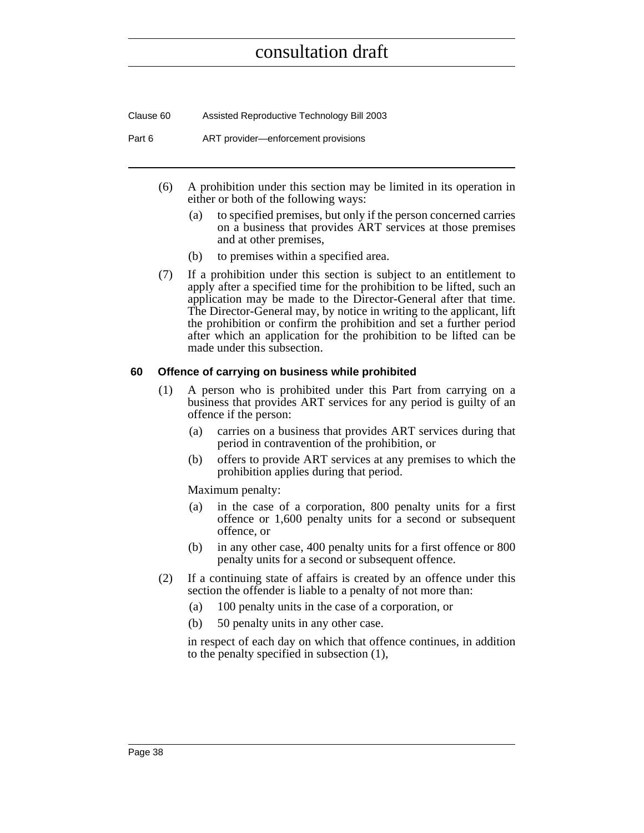Clause 60 Assisted Reproductive Technology Bill 2003

Part 6 **ART** provider—enforcement provisions

- (6) A prohibition under this section may be limited in its operation in either or both of the following ways:
	- (a) to specified premises, but only if the person concerned carries on a business that provides ART services at those premises and at other premises,
	- (b) to premises within a specified area.
- (7) If a prohibition under this section is subject to an entitlement to apply after a specified time for the prohibition to be lifted, such an application may be made to the Director-General after that time. The Director-General may, by notice in writing to the applicant, lift the prohibition or confirm the prohibition and set a further period after which an application for the prohibition to be lifted can be made under this subsection.

#### <span id="page-53-0"></span>**60 Offence of carrying on business while prohibited**

- (1) A person who is prohibited under this Part from carrying on a business that provides ART services for any period is guilty of an offence if the person:
	- (a) carries on a business that provides ART services during that period in contravention of the prohibition, or
	- (b) offers to provide ART services at any premises to which the prohibition applies during that period.

Maximum penalty:

- (a) in the case of a corporation, 800 penalty units for a first offence or 1,600 penalty units for a second or subsequent offence, or
- (b) in any other case, 400 penalty units for a first offence or 800 penalty units for a second or subsequent offence.
- (2) If a continuing state of affairs is created by an offence under this section the offender is liable to a penalty of not more than:
	- (a) 100 penalty units in the case of a corporation, or
	- (b) 50 penalty units in any other case.

in respect of each day on which that offence continues, in addition to the penalty specified in subsection (1),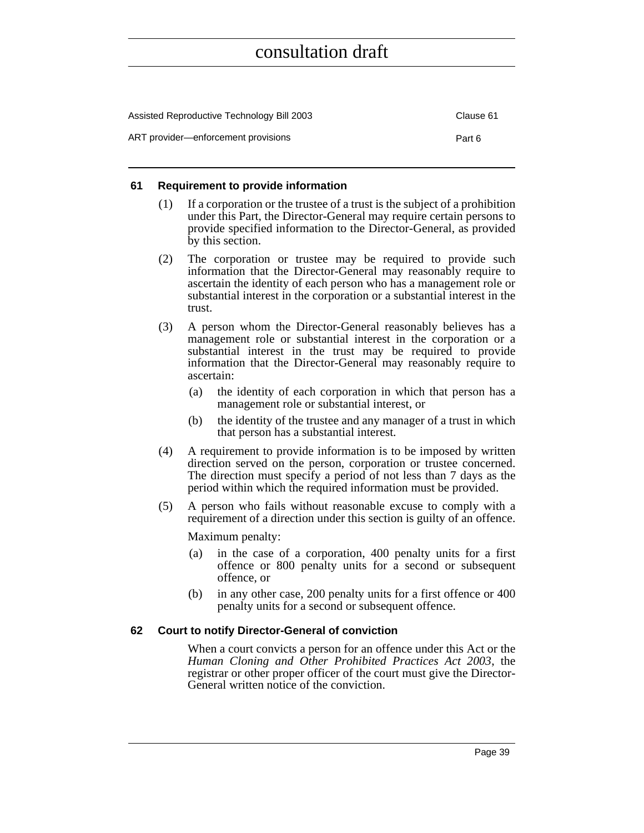| Assisted Reproductive Technology Bill 2003 | Clause 61 |
|--------------------------------------------|-----------|
| ART provider—enforcement provisions        | Part 6    |

#### <span id="page-54-0"></span>**61 Requirement to provide information**

- (1) If a corporation or the trustee of a trust is the subject of a prohibition under this Part, the Director-General may require certain persons to provide specified information to the Director-General, as provided by this section.
- (2) The corporation or trustee may be required to provide such information that the Director-General may reasonably require to ascertain the identity of each person who has a management role or substantial interest in the corporation or a substantial interest in the trust.
- (3) A person whom the Director-General reasonably believes has a management role or substantial interest in the corporation or a substantial interest in the trust may be required to provide information that the Director-General may reasonably require to ascertain:
	- (a) the identity of each corporation in which that person has a management role or substantial interest, or
	- (b) the identity of the trustee and any manager of a trust in which that person has a substantial interest.
- (4) A requirement to provide information is to be imposed by written direction served on the person, corporation or trustee concerned. The direction must specify a period of not less than 7 days as the period within which the required information must be provided.
- (5) A person who fails without reasonable excuse to comply with a requirement of a direction under this section is guilty of an offence.

Maximum penalty:

- (a) in the case of a corporation, 400 penalty units for a first offence or 800 penalty units for a second or subsequent offence, or
- (b) in any other case, 200 penalty units for a first offence or 400 penalty units for a second or subsequent offence.

#### <span id="page-54-1"></span>**62 Court to notify Director-General of conviction**

When a court convicts a person for an offence under this Act or the *Human Cloning and Other Prohibited Practices Act 2003*, the registrar or other proper officer of the court must give the Director-General written notice of the conviction.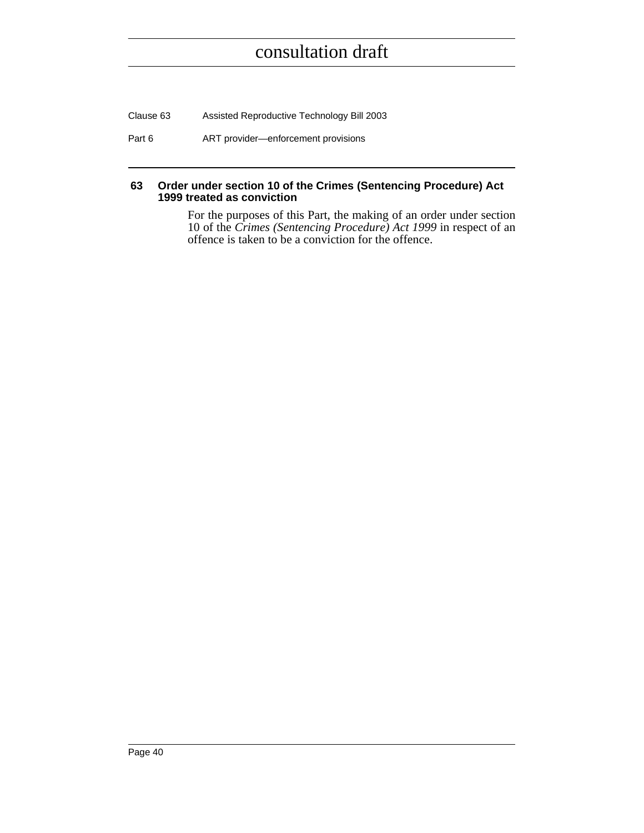Clause 63 Assisted Reproductive Technology Bill 2003

Part 6 ART provider—enforcement provisions

#### <span id="page-55-0"></span>**63 Order under section 10 of the Crimes (Sentencing Procedure) Act 1999 treated as conviction**

For the purposes of this Part, the making of an order under section 10 of the *Crimes (Sentencing Procedure) Act 1999* in respect of an offence is taken to be a conviction for the offence.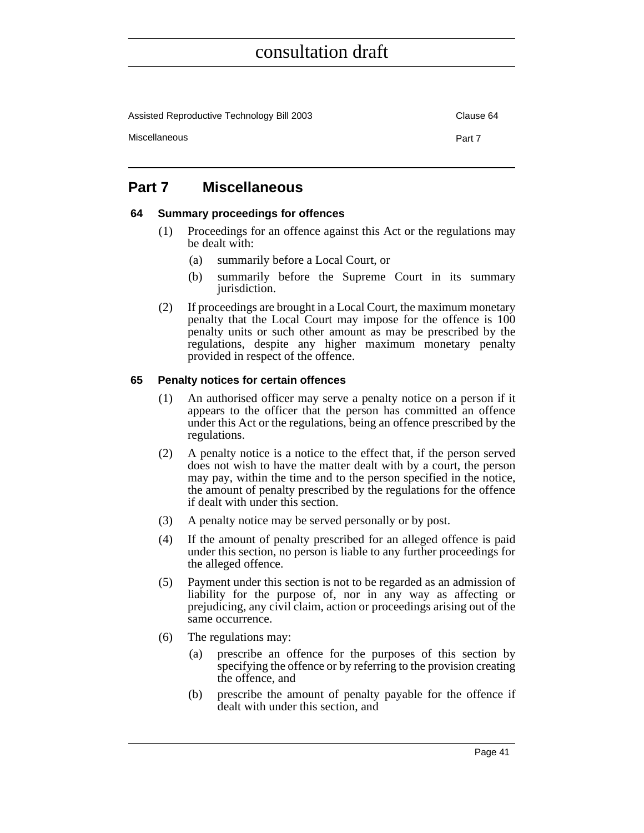Assisted Reproductive Technology Bill 2003 Clause 64

Miscellaneous **Part 7** 

### <span id="page-56-0"></span>**Part 7 Miscellaneous**

#### <span id="page-56-1"></span>**64 Summary proceedings for offences**

- (1) Proceedings for an offence against this Act or the regulations may be dealt with:
	- (a) summarily before a Local Court, or
	- (b) summarily before the Supreme Court in its summary jurisdiction.
- (2) If proceedings are brought in a Local Court, the maximum monetary penalty that the Local Court may impose for the offence is 100 penalty units or such other amount as may be prescribed by the regulations, despite any higher maximum monetary penalty provided in respect of the offence.

#### <span id="page-56-2"></span>**65 Penalty notices for certain offences**

- (1) An authorised officer may serve a penalty notice on a person if it appears to the officer that the person has committed an offence under this Act or the regulations, being an offence prescribed by the regulations.
- (2) A penalty notice is a notice to the effect that, if the person served does not wish to have the matter dealt with by a court, the person may pay, within the time and to the person specified in the notice, the amount of penalty prescribed by the regulations for the offence if dealt with under this section.
- (3) A penalty notice may be served personally or by post.
- (4) If the amount of penalty prescribed for an alleged offence is paid under this section, no person is liable to any further proceedings for the alleged offence.
- (5) Payment under this section is not to be regarded as an admission of liability for the purpose of, nor in any way as affecting or prejudicing, any civil claim, action or proceedings arising out of the same occurrence.
- (6) The regulations may:
	- (a) prescribe an offence for the purposes of this section by specifying the offence or by referring to the provision creating the offence, and
	- (b) prescribe the amount of penalty payable for the offence if dealt with under this section, and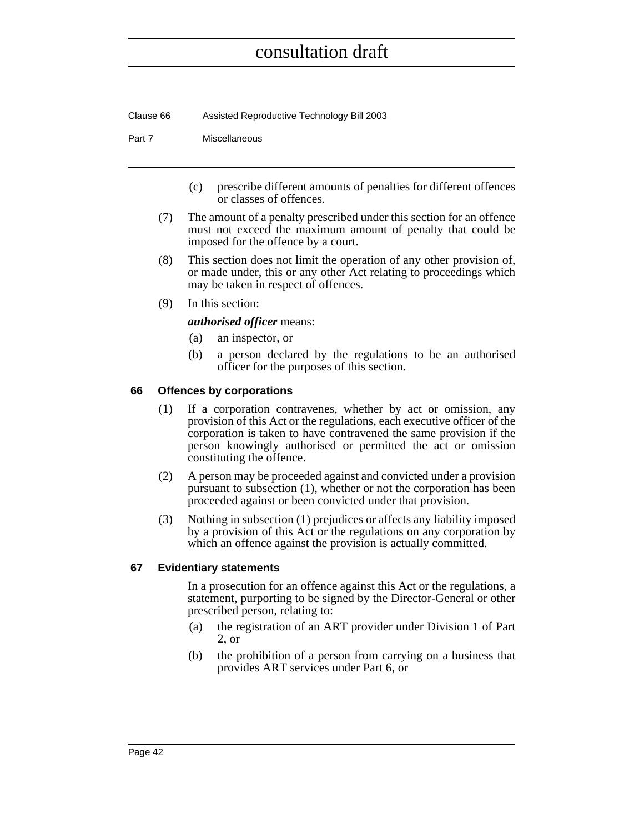Clause 66 Assisted Reproductive Technology Bill 2003

#### Part 7 Miscellaneous

- (c) prescribe different amounts of penalties for different offences or classes of offences.
- (7) The amount of a penalty prescribed under this section for an offence must not exceed the maximum amount of penalty that could be imposed for the offence by a court.
- (8) This section does not limit the operation of any other provision of, or made under, this or any other Act relating to proceedings which may be taken in respect of offences.
- (9) In this section:

#### *authorised officer* means:

- (a) an inspector, or
- (b) a person declared by the regulations to be an authorised officer for the purposes of this section.

#### <span id="page-57-0"></span>**66 Offences by corporations**

- (1) If a corporation contravenes, whether by act or omission, any provision of this Act or the regulations, each executive officer of the corporation is taken to have contravened the same provision if the person knowingly authorised or permitted the act or omission constituting the offence.
- (2) A person may be proceeded against and convicted under a provision pursuant to subsection (1), whether or not the corporation has been proceeded against or been convicted under that provision.
- (3) Nothing in subsection (1) prejudices or affects any liability imposed by a provision of this Act or the regulations on any corporation by which an offence against the provision is actually committed.

#### <span id="page-57-1"></span>**67 Evidentiary statements**

In a prosecution for an offence against this Act or the regulations, a statement, purporting to be signed by the Director-General or other prescribed person, relating to:

- (a) the registration of an ART provider under Division 1 of Part 2, or
- (b) the prohibition of a person from carrying on a business that provides ART services under Part 6, or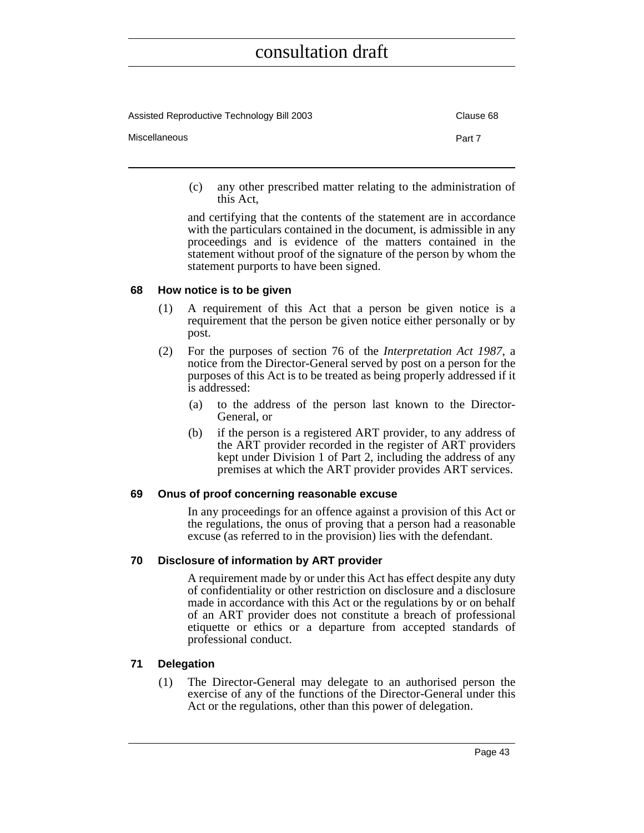| Assisted Reproductive Technology Bill 2003 | Clause 68 |
|--------------------------------------------|-----------|
| Miscellaneous                              | Part 7    |

(c) any other prescribed matter relating to the administration of this Act,

and certifying that the contents of the statement are in accordance with the particulars contained in the document, is admissible in any proceedings and is evidence of the matters contained in the statement without proof of the signature of the person by whom the statement purports to have been signed.

#### <span id="page-58-0"></span>**68 How notice is to be given**

- (1) A requirement of this Act that a person be given notice is a requirement that the person be given notice either personally or by post.
- (2) For the purposes of section 76 of the *Interpretation Act 1987*, a notice from the Director-General served by post on a person for the purposes of this Act is to be treated as being properly addressed if it is addressed:
	- (a) to the address of the person last known to the Director-General, or
	- (b) if the person is a registered ART provider, to any address of the ART provider recorded in the register of ART providers kept under Division 1 of Part 2, including the address of any premises at which the ART provider provides ART services.

#### <span id="page-58-1"></span>**69 Onus of proof concerning reasonable excuse**

In any proceedings for an offence against a provision of this Act or the regulations, the onus of proving that a person had a reasonable excuse (as referred to in the provision) lies with the defendant.

#### <span id="page-58-2"></span>**70 Disclosure of information by ART provider**

A requirement made by or under this Act has effect despite any duty of confidentiality or other restriction on disclosure and a disclosure made in accordance with this Act or the regulations by or on behalf of an ART provider does not constitute a breach of professional etiquette or ethics or a departure from accepted standards of professional conduct.

#### <span id="page-58-3"></span>**71 Delegation**

(1) The Director-General may delegate to an authorised person the exercise of any of the functions of the Director-General under this Act or the regulations, other than this power of delegation.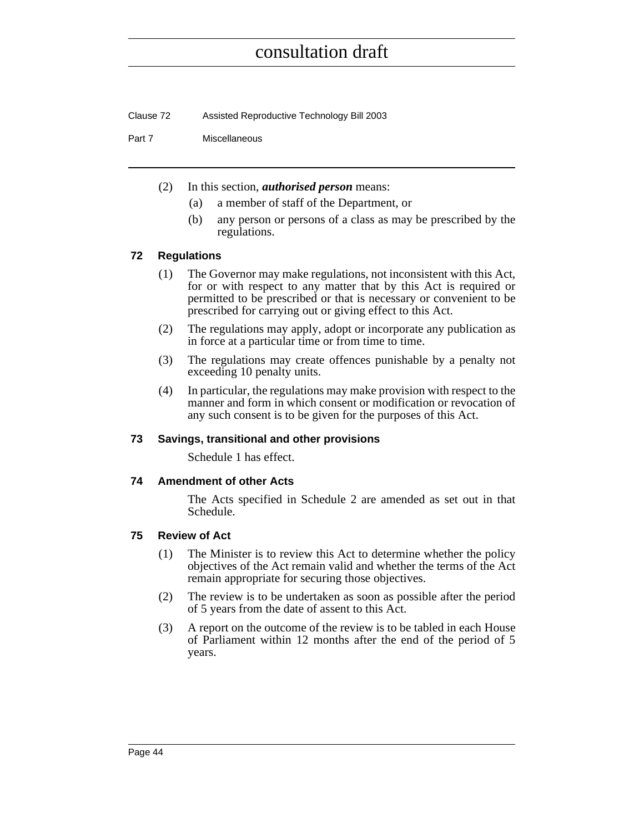Clause 72 Assisted Reproductive Technology Bill 2003

#### Part 7 Miscellaneous

- (2) In this section, *authorised person* means:
	- (a) a member of staff of the Department, or
	- (b) any person or persons of a class as may be prescribed by the regulations.

#### <span id="page-59-0"></span>**72 Regulations**

- (1) The Governor may make regulations, not inconsistent with this Act, for or with respect to any matter that by this Act is required or permitted to be prescribed or that is necessary or convenient to be prescribed for carrying out or giving effect to this Act.
- (2) The regulations may apply, adopt or incorporate any publication as in force at a particular time or from time to time.
- (3) The regulations may create offences punishable by a penalty not exceeding 10 penalty units.
- (4) In particular, the regulations may make provision with respect to the manner and form in which consent or modification or revocation of any such consent is to be given for the purposes of this Act.

#### <span id="page-59-1"></span>**73 Savings, transitional and other provisions**

Schedule 1 has effect.

#### <span id="page-59-2"></span>**74 Amendment of other Acts**

The Acts specified in Schedule 2 are amended as set out in that Schedule.

#### <span id="page-59-3"></span>**75 Review of Act**

- (1) The Minister is to review this Act to determine whether the policy objectives of the Act remain valid and whether the terms of the Act remain appropriate for securing those objectives.
- (2) The review is to be undertaken as soon as possible after the period of 5 years from the date of assent to this Act.
- (3) A report on the outcome of the review is to be tabled in each House of Parliament within 12 months after the end of the period of 5 years.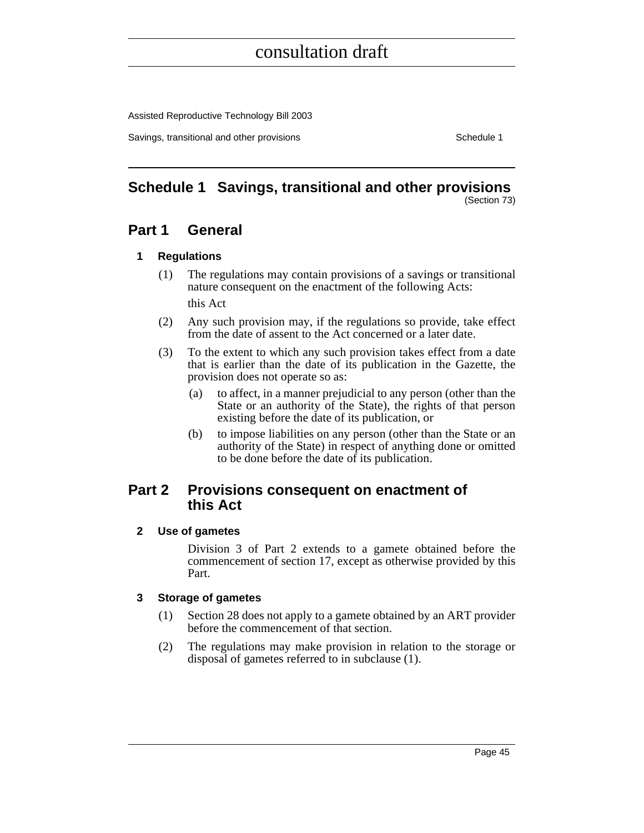Assisted Reproductive Technology Bill 2003

Savings, transitional and other provisions Schedule 1 and the state of the state of the Schedule 1

# <span id="page-60-0"></span>**Schedule 1 Savings, transitional and other provisions**

(Section 73)

### **Part 1 General**

#### **1 Regulations**

- (1) The regulations may contain provisions of a savings or transitional nature consequent on the enactment of the following Acts: this Act
- (2) Any such provision may, if the regulations so provide, take effect from the date of assent to the Act concerned or a later date.
- (3) To the extent to which any such provision takes effect from a date that is earlier than the date of its publication in the Gazette, the provision does not operate so as:
	- (a) to affect, in a manner prejudicial to any person (other than the State or an authority of the State), the rights of that person existing before the date of its publication, or
	- (b) to impose liabilities on any person (other than the State or an authority of the State) in respect of anything done or omitted to be done before the date of its publication.

### **Part 2 Provisions consequent on enactment of this Act**

#### **2 Use of gametes**

Division 3 of Part 2 extends to a gamete obtained before the commencement of section 17, except as otherwise provided by this Part.

#### **3 Storage of gametes**

- (1) Section 28 does not apply to a gamete obtained by an ART provider before the commencement of that section.
- (2) The regulations may make provision in relation to the storage or disposal of gametes referred to in subclause (1).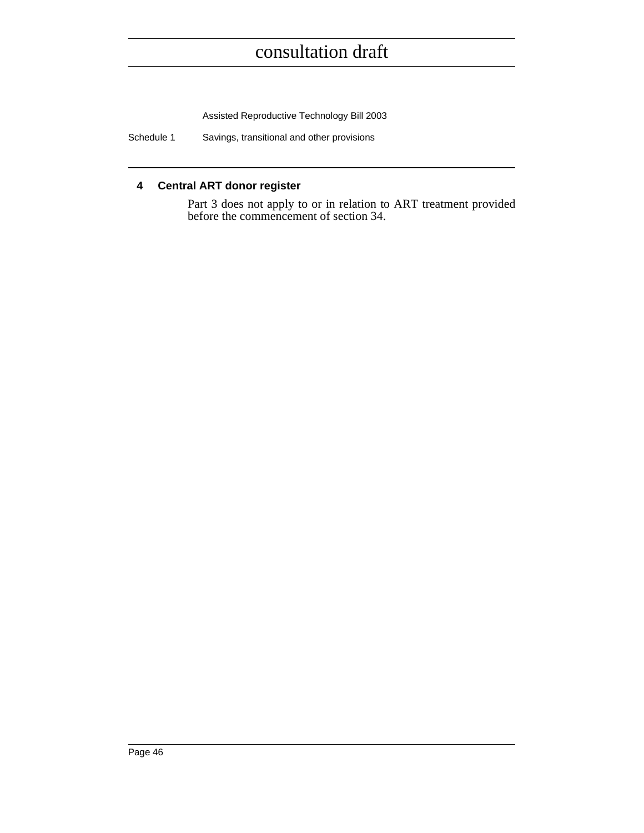Assisted Reproductive Technology Bill 2003

Schedule 1 Savings, transitional and other provisions

#### **4 Central ART donor register**

Part 3 does not apply to or in relation to ART treatment provided before the commencement of section 34.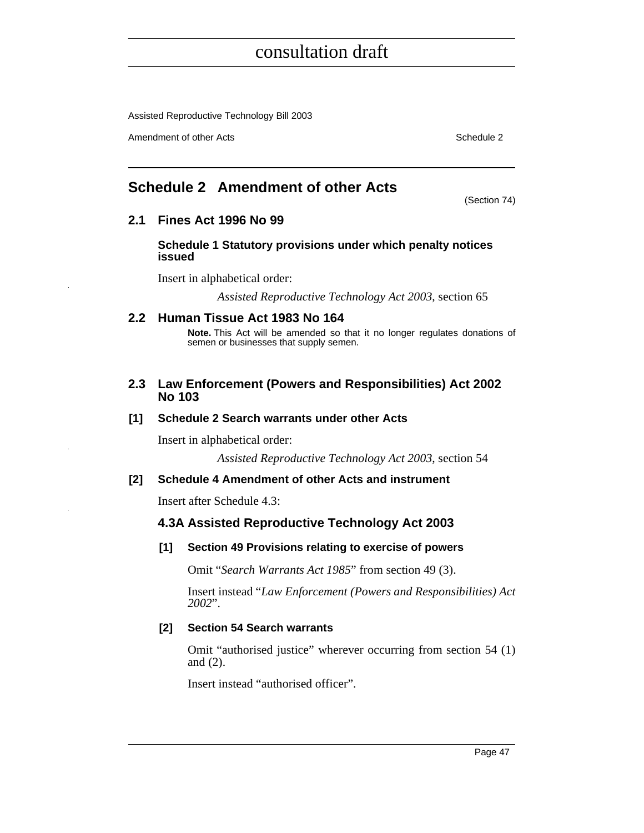Assisted Reproductive Technology Bill 2003

Amendment of other Acts **Schedule 2** and  $\overline{a}$  3 and  $\overline{b}$  3 and  $\overline{b}$  3 and  $\overline{b}$  3 and  $\overline{b}$  3 and  $\overline{a}$  3 and  $\overline{a}$  3 and  $\overline{a}$  3 and  $\overline{a}$  3 and  $\overline{a}$  3 and  $\overline{a}$  3 and  $\overline{a}$  3 and

(Section 74)

### <span id="page-62-0"></span>**Schedule 2 Amendment of other Acts**

**2.1 Fines Act 1996 No 99**

**Schedule 1 Statutory provisions under which penalty notices issued**

Insert in alphabetical order:

*Assisted Reproductive Technology Act 2003*, section 65

#### **2.2 Human Tissue Act 1983 No 164**

**Note.** This Act will be amended so that it no longer regulates donations of semen or businesses that supply semen.

#### **2.3 Law Enforcement (Powers and Responsibilities) Act 2002 No 103**

#### **[1] Schedule 2 Search warrants under other Acts**

Insert in alphabetical order:

*Assisted Reproductive Technology Act 2003*, section 54

#### **[2] Schedule 4 Amendment of other Acts and instrument**

Insert after Schedule 4.3:

#### **4.3A Assisted Reproductive Technology Act 2003**

#### **[1] Section 49 Provisions relating to exercise of powers**

Omit "*Search Warrants Act 1985*" from section 49 (3).

Insert instead "*Law Enforcement (Powers and Responsibilities) Act 2002*".

#### **[2] Section 54 Search warrants**

Omit "authorised justice" wherever occurring from section 54 (1) and (2).

Insert instead "authorised officer".